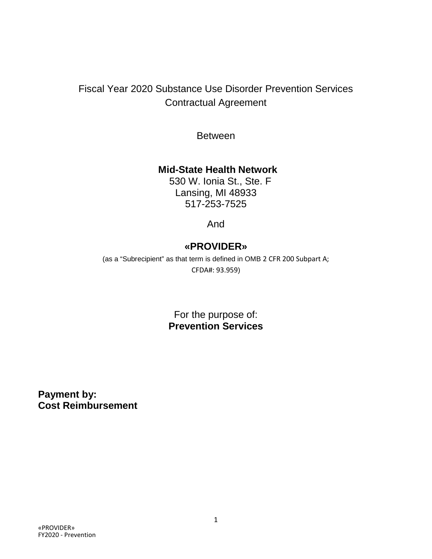## Fiscal Year 2020 Substance Use Disorder Prevention Services Contractual Agreement

**Between** 

## **Mid-State Health Network**

530 W. Ionia St., Ste. F Lansing, MI 48933 517-253-7525

And

## **«PROVIDER»**

(as a "Subrecipient" as that term is defined in OMB 2 CFR 200 Subpart A; CFDA#: 93.959)

> For the purpose of: **Prevention Services**

**Payment by: Cost Reimbursement**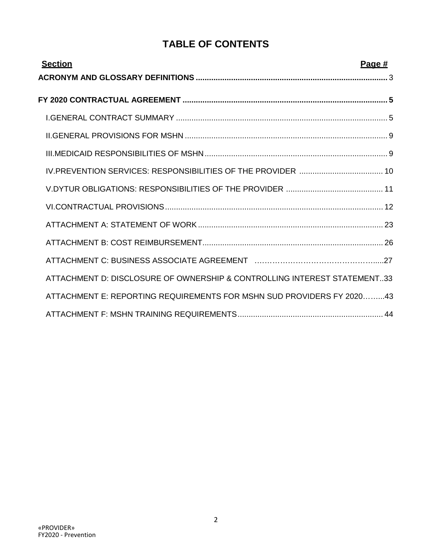## **TABLE OF CONTENTS**

| <b>Section</b>                                                           | Page $#$ |
|--------------------------------------------------------------------------|----------|
|                                                                          |          |
|                                                                          |          |
|                                                                          |          |
|                                                                          |          |
|                                                                          |          |
|                                                                          |          |
|                                                                          |          |
|                                                                          |          |
|                                                                          |          |
|                                                                          |          |
| ATTACHMENT D: DISCLOSURE OF OWNERSHIP & CONTROLLING INTEREST STATEMENT33 |          |
| ATTACHMENT E: REPORTING REQUIREMENTS FOR MSHN SUD PROVIDERS FY 202043    |          |
|                                                                          |          |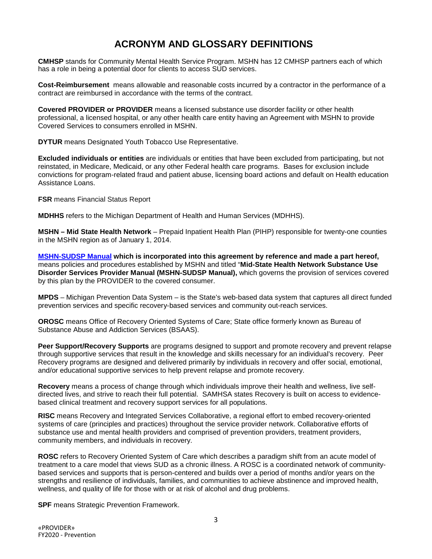## **ACRONYM AND GLOSSARY DEFINITIONS**

**CMHSP** stands for Community Mental Health Service Program. MSHN has 12 CMHSP partners each of which has a role in being a potential door for clients to access SUD services.

**Cost-Reimbursement** means allowable and reasonable costs incurred by a contractor in the performance of a contract are reimbursed in accordance with the terms of the contract.

**Covered PROVIDER or PROVIDER** means a licensed substance use disorder facility or other health professional, a licensed hospital, or any other health care entity having an Agreement with MSHN to provide Covered Services to consumers enrolled in MSHN.

**DYTUR** means Designated Youth Tobacco Use Representative.

**Excluded individuals or entities** are individuals or entities that have been excluded from participating, but not reinstated, in Medicare, Medicaid, or any other Federal health care programs. Bases for exclusion include convictions for program-related fraud and patient abuse, licensing board actions and default on Health education Assistance Loans.

**FSR** means Financial Status Report

**MDHHS** refers to the Michigan Department of Health and Human Services (MDHHS).

**MSHN – Mid State Health Network** – Prepaid Inpatient Health Plan (PIHP) responsible for twenty-one counties in the MSHN region as of January 1, 2014.

**[MSHN-SUDSP Manual](http://www.midstatehealthnetwork.org/provider-network/docs/FY18%20SUDSP%20Manual%20Final.pdf) which is incorporated into this agreement by reference and made a part hereof,**  means policies and procedures established by MSHN and titled "**Mid-State Health Network Substance Use Disorder Services Provider Manual (MSHN-SUDSP Manual),** which governs the provision of services covered by this plan by the PROVIDER to the covered consumer.

**MPDS** – Michigan Prevention Data System – is the State's web-based data system that captures all direct funded prevention services and specific recovery-based services and community out-reach services.

**OROSC** means Office of Recovery Oriented Systems of Care; State office formerly known as Bureau of Substance Abuse and Addiction Services (BSAAS).

**Peer Support/Recovery Supports** are programs designed to support and promote recovery and prevent relapse through supportive services that result in the knowledge and skills necessary for an individual's recovery. Peer Recovery programs are designed and delivered primarily by individuals in recovery and offer social, emotional, and/or educational supportive services to help prevent relapse and promote recovery.

**Recovery** means a process of change through which individuals improve their health and wellness, live selfdirected lives, and strive to reach their full potential. SAMHSA states Recovery is built on access to evidencebased clinical treatment and recovery support services for all populations.

**RISC** means Recovery and Integrated Services Collaborative, a regional effort to embed recovery-oriented systems of care (principles and practices) throughout the service provider network. Collaborative efforts of substance use and mental health providers and comprised of prevention providers, treatment providers, community members, and individuals in recovery.

**ROSC** refers to Recovery Oriented System of Care which describes a paradigm shift from an acute model of treatment to a care model that views SUD as a chronic illness. A ROSC is a coordinated network of communitybased services and supports that is person-centered and builds over a period of months and/or years on the strengths and resilience of individuals, families, and communities to achieve abstinence and improved health, wellness, and quality of life for those with or at risk of alcohol and drug problems.

**SPF** means Strategic Prevention Framework.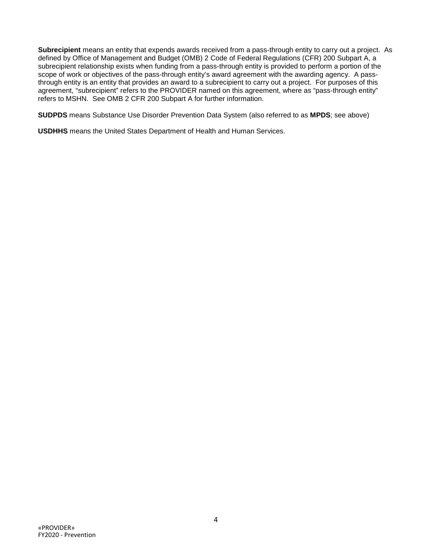**Subrecipient** means an entity that expends awards received from a pass-through entity to carry out a project. As defined by Office of Management and Budget (OMB) 2 Code of Federal Regulations (CFR) 200 Subpart A, a subrecipient relationship exists when funding from a pass-through entity is provided to perform a portion of the scope of work or objectives of the pass-through entity's award agreement with the awarding agency. A passthrough entity is an entity that provides an award to a subrecipient to carry out a project. For purposes of this agreement, "subrecipient" refers to the PROVIDER named on this agreement, where as "pass-through entity" refers to MSHN. See OMB 2 CFR 200 Subpart A for further information.

**SUDPDS** means Substance Use Disorder Prevention Data System (also referred to as **MPDS**; see above)

**USDHHS** means the United States Department of Health and Human Services.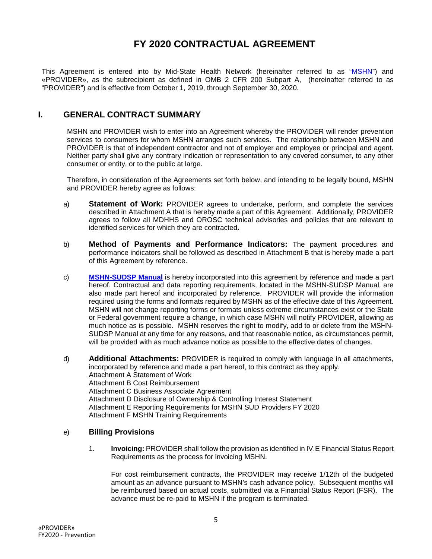## **FY 2020 CONTRACTUAL AGREEMENT**

This Agreement is entered into by Mid-State Health Network (hereinafter referred to as ["MSHN"](http://www.midstatehealthnetwork.org/)) and «PROVIDER», as the subrecipient as defined in OMB 2 CFR 200 Subpart A, (hereinafter referred to as "PROVIDER") and is effective from October 1, 2019, through September 30, 2020.

### **I. GENERAL CONTRACT SUMMARY**

MSHN and PROVIDER wish to enter into an Agreement whereby the PROVIDER will render prevention services to consumers for whom MSHN arranges such services. The relationship between MSHN and PROVIDER is that of independent contractor and not of employer and employee or principal and agent. Neither party shall give any contrary indication or representation to any covered consumer, to any other consumer or entity, or to the public at large.

Therefore, in consideration of the Agreements set forth below, and intending to be legally bound, MSHN and PROVIDER hereby agree as follows:

- a) **Statement of Work:** PROVIDER agrees to undertake, perform, and complete the services described in Attachment A that is hereby made a part of this Agreement. Additionally, PROVIDER agrees to follow all MDHHS and OROSC technical advisories and policies that are relevant to identified services for which they are contracted**.**
- b) **Method of Payments and Performance Indicators:** The payment procedures and performance indicators shall be followed as described in Attachment B that is hereby made a part of this Agreement by reference.
- c) **[MSHN-SUDSP Manual](http://www.midstatehealthnetwork.org/provider-network/docs/FY18%20SUDSP%20Manual%20Final.pdf)** is hereby incorporated into this agreement by reference and made a part hereof. Contractual and data reporting requirements, located in the MSHN-SUDSP Manual, are also made part hereof and incorporated by reference. PROVIDER will provide the information required using the forms and formats required by MSHN as of the effective date of this Agreement. MSHN will not change reporting forms or formats unless extreme circumstances exist or the State or Federal government require a change, in which case MSHN will notify PROVIDER, allowing as much notice as is possible. MSHN reserves the right to modify, add to or delete from the MSHN-SUDSP Manual at any time for any reasons, and that reasonable notice, as circumstances permit, will be provided with as much advance notice as possible to the effective dates of changes.
- d) **Additional Attachments:** PROVIDER is required to comply with language in all attachments, incorporated by reference and made a part hereof, to this contract as they apply. Attachment A Statement of Work Attachment B Cost Reimbursement Attachment C Business Associate Agreement Attachment D Disclosure of Ownership & Controlling Interest Statement Attachment E Reporting Requirements for MSHN SUD Providers FY 2020 Attachment F MSHN Training Requirements

#### e) **Billing Provisions**

1. **Invoicing:** PROVIDER shall follow the provision as identified in IV.E Financial Status Report Requirements as the process for invoicing MSHN.

For cost reimbursement contracts, the PROVIDER may receive 1/12th of the budgeted amount as an advance pursuant to MSHN's cash advance policy. Subsequent months will be reimbursed based on actual costs, submitted via a Financial Status Report (FSR). The advance must be re-paid to MSHN if the program is terminated.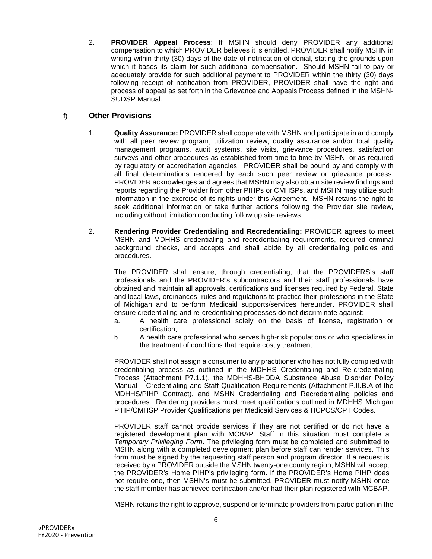2. **PROVIDER Appeal Process**: If MSHN should deny PROVIDER any additional compensation to which PROVIDER believes it is entitled, PROVIDER shall notify MSHN in writing within thirty (30) days of the date of notification of denial, stating the grounds upon which it bases its claim for such additional compensation. Should MSHN fail to pay or adequately provide for such additional payment to PROVIDER within the thirty (30) days following receipt of notification from PROVIDER, PROVIDER shall have the right and process of appeal as set forth in the Grievance and Appeals Process defined in the MSHN-SUDSP Manual.

#### f) **Other Provisions**

- 1. **Quality Assurance:** PROVIDER shall cooperate with MSHN and participate in and comply with all peer review program, utilization review, quality assurance and/or total quality management programs, audit systems, site visits, grievance procedures, satisfaction surveys and other procedures as established from time to time by MSHN, or as required by regulatory or accreditation agencies. PROVIDER shall be bound by and comply with all final determinations rendered by each such peer review or grievance process. PROVIDER acknowledges and agrees that MSHN may also obtain site review findings and reports regarding the Provider from other PIHPs or CMHSPs, and MSHN may utilize such information in the exercise of its rights under this Agreement. MSHN retains the right to seek additional information or take further actions following the Provider site review, including without limitation conducting follow up site reviews.
- 2. **Rendering Provider Credentialing and Recredentialing:** PROVIDER agrees to meet MSHN and MDHHS credentialing and recredentialing requirements, required criminal background checks, and accepts and shall abide by all credentialing policies and procedures.

The PROVIDER shall ensure, through credentialing, that the PROVIDERS's staff professionals and the PROVIDER's subcontractors and their staff professionals have obtained and maintain all approvals, certifications and licenses required by Federal, State and local laws, ordinances, rules and regulations to practice their professions in the State of Michigan and to perform Medicaid supports/services hereunder. PROVIDER shall ensure credentialing and re-credentialing processes do not discriminate against:

- a. A health care professional solely on the basis of license, registration or certification;
- b. A health care professional who serves high-risk populations or who specializes in the treatment of conditions that require costly treatment

PROVIDER shall not assign a consumer to any practitioner who has not fully complied with credentialing process as outlined in the MDHHS Credentialing and Re-credentialing Process (Attachment P7.1.1), the MDHHS-BHDDA Substance Abuse Disorder Policy Manual – Credentialing and Staff Qualification Requirements (Attachment P.II.B.A of the MDHHS/PIHP Contract), and MSHN Credentialing and Recredentialing policies and procedures. Rendering providers must meet qualifications outlined in MDHHS Michigan PIHP/CMHSP Provider Qualifications per Medicaid Services & HCPCS/CPT Codes.

PROVIDER staff cannot provide services if they are not certified or do not have a registered development plan with MCBAP. Staff in this situation must complete a *Temporary Privileging Form*. The privileging form must be completed and submitted to MSHN along with a completed development plan before staff can render services. This form must be signed by the requesting staff person and program director. If a request is received by a PROVIDER outside the MSHN twenty-one county region, MSHN will accept the PROVIDER's Home PIHP's privileging form. If the PROVIDER's Home PIHP does not require one, then MSHN's must be submitted. PROVIDER must notify MSHN once the staff member has achieved certification and/or had their plan registered with MCBAP.

MSHN retains the right to approve, suspend or terminate providers from participation in the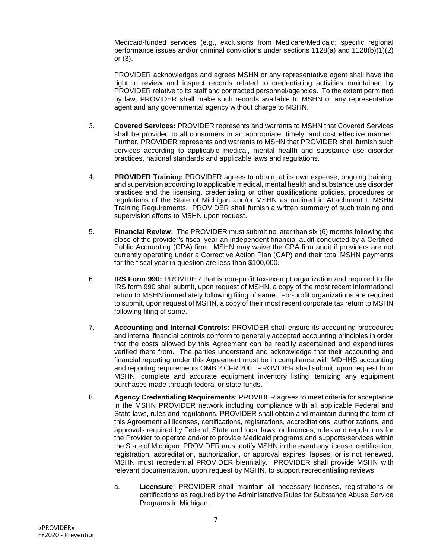Medicaid-funded services (e.g., exclusions from Medicare/Medicaid; specific regional performance issues and/or criminal convictions under sections 1128(a) and 1128(b)(1)(2) or (3).

PROVIDER acknowledges and agrees MSHN or any representative agent shall have the right to review and inspect records related to credentialing activities maintained by PROVIDER relative to its staff and contracted personnel/agencies. To the extent permitted by law, PROVIDER shall make such records available to MSHN or any representative agent and any governmental agency without charge to MSHN.

- 3. **Covered Services:** PROVIDER represents and warrants to MSHN that Covered Services shall be provided to all consumers in an appropriate, timely, and cost effective manner. Further, PROVIDER represents and warrants to MSHN that PROVIDER shall furnish such services according to applicable medical, mental health and substance use disorder practices, national standards and applicable laws and regulations.
- 4. **PROVIDER Training:** PROVIDER agrees to obtain, at its own expense, ongoing training, and supervision according to applicable medical, mental health and substance use disorder practices and the licensing, credentialing or other qualifications policies, procedures or regulations of the State of Michigan and/or MSHN as outlined in Attachment F MSHN Training Requirements. PROVIDER shall furnish a written summary of such training and supervision efforts to MSHN upon request.
- 5. **Financial Review:** The PROVIDER must submit no later than six (6) months following the close of the provider's fiscal year an independent financial audit conducted by a Certified Public Accounting (CPA) firm. MSHN may waive the CPA firm audit if providers are not currently operating under a Corrective Action Plan (CAP) and their total MSHN payments for the fiscal year in question are less than \$100,000.
- 6. **IRS Form 990:** PROVIDER that is non-profit tax-exempt organization and required to file IRS form 990 shall submit, upon request of MSHN, a copy of the most recent informational return to MSHN immediately following filing of same. For-profit organizations are required to submit, upon request of MSHN, a copy of their most recent corporate tax return to MSHN following filing of same.
- 7. **Accounting and Internal Controls:** PROVIDER shall ensure its accounting procedures and internal financial controls conform to generally accepted accounting principles in order that the costs allowed by this Agreement can be readily ascertained and expenditures verified there from. The parties understand and acknowledge that their accounting and financial reporting under this Agreement must be in compliance with MDHHS accounting and reporting requirements OMB 2 CFR 200. PROVIDER shall submit, upon request from MSHN, complete and accurate equipment inventory listing itemizing any equipment purchases made through federal or state funds.
- 8. **Agency Credentialing Requirements**: PROVIDER agrees to meet criteria for acceptance in the MSHN PROVIDER network including compliance with all applicable Federal and State laws, rules and regulations. PROVIDER shall obtain and maintain during the term of this Agreement all licenses, certifications, registrations, accreditations, authorizations, and approvals required by Federal, State and local laws, ordinances, rules and regulations for the Provider to operate and/or to provide Medicaid programs and supports/services within the State of Michigan. PROVIDER must notify MSHN in the event any license, certification, registration, accreditation, authorization, or approval expires, lapses, or is not renewed. MSHN must recredential PROVIDER biennially. PROVIDER shall provide MSHN with relevant documentation, upon request by MSHN, to support recredentialing reviews.
	- a. **Licensure**: PROVIDER shall maintain all necessary licenses, registrations or certifications as required by the Administrative Rules for Substance Abuse Service Programs in Michigan.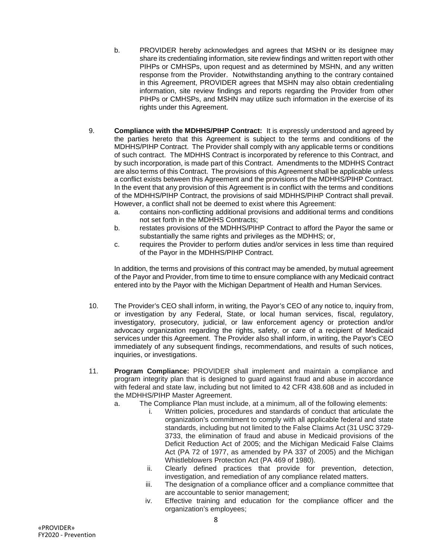- b. PROVIDER hereby acknowledges and agrees that MSHN or its designee may share its credentialing information, site review findings and written report with other PIHPs or CMHSPs, upon request and as determined by MSHN, and any written response from the Provider. Notwithstanding anything to the contrary contained in this Agreement, PROVIDER agrees that MSHN may also obtain credentialing information, site review findings and reports regarding the Provider from other PIHPs or CMHSPs, and MSHN may utilize such information in the exercise of its rights under this Agreement.
- 9. **Compliance with the MDHHS/PIHP Contract:** It is expressly understood and agreed by the parties hereto that this Agreement is subject to the terms and conditions of the MDHHS/PIHP Contract. The Provider shall comply with any applicable terms or conditions of such contract. The MDHHS Contract is incorporated by reference to this Contract, and by such incorporation, is made part of this Contract. Amendments to the MDHHS Contract are also terms of this Contract. The provisions of this Agreement shall be applicable unless a conflict exists between this Agreement and the provisions of the MDHHS/PIHP Contract. In the event that any provision of this Agreement is in conflict with the terms and conditions of the MDHHS/PIHP Contract, the provisions of said MDHHS/PIHP Contract shall prevail. However, a conflict shall not be deemed to exist where this Agreement:
	- a. contains non-conflicting additional provisions and additional terms and conditions not set forth in the MDHHS Contracts;
	- b. restates provisions of the MDHHS/PIHP Contract to afford the Payor the same or substantially the same rights and privileges as the MDHHS; or,
	- c. requires the Provider to perform duties and/or services in less time than required of the Payor in the MDHHS/PIHP Contract.

In addition, the terms and provisions of this contract may be amended, by mutual agreement of the Payor and Provider, from time to time to ensure compliance with any Medicaid contract entered into by the Payor with the Michigan Department of Health and Human Services.

- 10. The Provider's CEO shall inform, in writing, the Payor's CEO of any notice to, inquiry from, or investigation by any Federal, State, or local human services, fiscal, regulatory, investigatory, prosecutory, judicial, or law enforcement agency or protection and/or advocacy organization regarding the rights, safety, or care of a recipient of Medicaid services under this Agreement. The Provider also shall inform, in writing, the Payor's CEO immediately of any subsequent findings, recommendations, and results of such notices, inquiries, or investigations.
- 11. **Program Compliance:** PROVIDER shall implement and maintain a compliance and program integrity plan that is designed to guard against fraud and abuse in accordance with federal and state law, including but not limited to 42 CFR 438.608 and as included in the MDHHS/PIHP Master Agreement.
	- a. The Compliance Plan must include, at a minimum, all of the following elements:
		- Written policies, procedures and standards of conduct that articulate the organization's commitment to comply with all applicable federal and state standards, including but not limited to the False Claims Act (31 USC 3729- 3733, the elimination of fraud and abuse in Medicaid provisions of the Deficit Reduction Act of 2005; and the Michigan Medicaid False Claims Act (PA 72 of 1977, as amended by PA 337 of 2005) and the Michigan Whistleblowers Protection Act (PA 469 of 1980).
		- ii. Clearly defined practices that provide for prevention, detection, investigation, and remediation of any compliance related matters.
		- iii. The designation of a compliance officer and a compliance committee that are accountable to senior management;
		- iv. Effective training and education for the compliance officer and the organization's employees;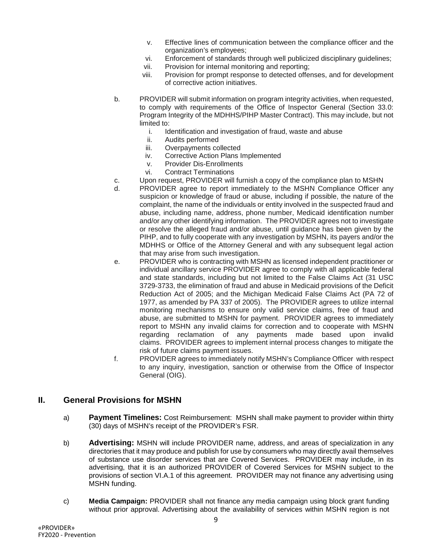- v. Effective lines of communication between the compliance officer and the organization's employees;
- vi. Enforcement of standards through well publicized disciplinary guidelines;
- vii. Provision for internal monitoring and reporting;
- viii. Provision for prompt response to detected offenses, and for development of corrective action initiatives.
- b. PROVIDER will submit information on program integrity activities, when requested, to comply with requirements of the Office of Inspector General (Section 33.0: Program Integrity of the MDHHS/PIHP Master Contract). This may include, but not limited to:
	- i. Identification and investigation of fraud, waste and abuse
	- ii. Audits performed
	- iii. Overpayments collected<br>iv. Corrective Action Plans li
	- Corrective Action Plans Implemented
	- v. Provider Dis-Enrollments
	- vi. Contract Terminations
- c. Upon request, PROVIDER will furnish a copy of the compliance plan to MSHN
- d. PROVIDER agree to report immediately to the MSHN Compliance Officer any suspicion or knowledge of fraud or abuse, including if possible, the nature of the complaint, the name of the individuals or entity involved in the suspected fraud and abuse, including name, address, phone number, Medicaid identification number and/or any other identifying information. The PROVIDER agrees not to investigate or resolve the alleged fraud and/or abuse, until guidance has been given by the PIHP, and to fully cooperate with any investigation by MSHN, its payers and/or the MDHHS or Office of the Attorney General and with any subsequent legal action that may arise from such investigation.
- e. PROVIDER who is contracting with MSHN as licensed independent practitioner or individual ancillary service PROVIDER agree to comply with all applicable federal and state standards, including but not limited to the False Claims Act (31 USC 3729-3733, the elimination of fraud and abuse in Medicaid provisions of the Deficit Reduction Act of 2005; and the Michigan Medicaid False Claims Act (PA 72 of 1977, as amended by PA 337 of 2005). The PROVIDER agrees to utilize internal monitoring mechanisms to ensure only valid service claims, free of fraud and abuse, are submitted to MSHN for payment. PROVIDER agrees to immediately report to MSHN any invalid claims for correction and to cooperate with MSHN regarding reclamation of any payments made based upon invalid claims. PROVIDER agrees to implement internal process changes to mitigate the risk of future claims payment issues.
- f. PROVIDER agrees to immediately notify MSHN's Compliance Officer with respect to any inquiry, investigation, sanction or otherwise from the Office of Inspector General (OIG).

#### **II. General Provisions for MSHN**

- a) **Payment Timelines:** Cost Reimbursement: MSHN shall make payment to provider within thirty (30) days of MSHN's receipt of the PROVIDER's FSR.
- b) **Advertising:** MSHN will include PROVIDER name, address, and areas of specialization in any directories that it may produce and publish for use by consumers who may directly avail themselves of substance use disorder services that are Covered Services. PROVIDER may include, in its advertising, that it is an authorized PROVIDER of Covered Services for MSHN subject to the provisions of section VI.A.1 of this agreement. PROVIDER may not finance any advertising using MSHN funding.
- c) **Media Campaign:** PROVIDER shall not finance any media campaign using block grant funding without prior approval. Advertising about the availability of services within MSHN region is not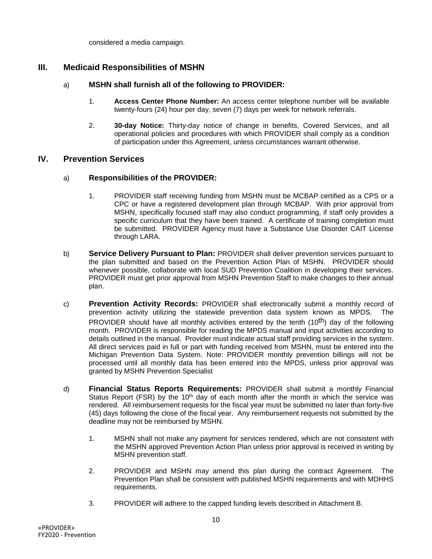considered a media campaign.

### **III. Medicaid Responsibilities of MSHN**

#### a) **MSHN shall furnish all of the following to PROVIDER:**

- 1. **Access Center Phone Number:** An access center telephone number will be available twenty-fours (24) hour per day, seven (7) days per week for network referrals.
- 2. **30-day Notice:** Thirty-day notice of change in benefits, Covered Services, and all operational policies and procedures with which PROVIDER shall comply as a condition of participation under this Agreement, unless circumstances warrant otherwise.

### **IV. Prevention Services**

#### a) **Responsibilities of the PROVIDER:**

- 1. PROVIDER staff receiving funding from MSHN must be MCBAP certified as a CPS or a CPC or have a registered development plan through MCBAP. With prior approval from MSHN, specifically focused staff may also conduct programming, if staff only provides a specific curriculum that they have been trained. A certificate of training completion must be submitted. PROVIDER Agency must have a Substance Use Disorder CAIT License through LARA.
- b) **Service Delivery Pursuant to Plan:** PROVIDER shall deliver prevention services pursuant to the plan submitted and based on the Prevention Action Plan of MSHN. PROVIDER should whenever possible, collaborate with local SUD Prevention Coalition in developing their services. PROVIDER must get prior approval from MSHN Prevention Staff to make changes to their annual plan.
- c) **Prevention Activity Records:** PROVIDER shall electronically submit a monthly record of prevention activity utilizing the statewide prevention data system known as MPDS. The PROVIDER should have all monthly activities entered by the tenth  $(10<sup>th</sup>)$  day of the following month. PROVIDER is responsible for reading the MPDS manual and input activities according to details outlined in the manual. Provider must indicate actual staff providing services in the system. All direct services paid in full or part with funding received from MSHN, must be entered into the Michigan Prevention Data System. Note: PROVIDER monthly prevention billings will not be processed until all monthly data has been entered into the MPDS, unless prior approval was granted by MSHN Prevention Specialist
- d) **Financial Status Reports Requirements:** PROVIDER shall submit a monthly Financial Status Report (FSR) by the 10<sup>th</sup> day of each month after the month in which the service was rendered. All reimbursement requests for the fiscal year must be submitted no later than forty-five (45) days following the close of the fiscal year. Any reimbursement requests not submitted by the deadline may not be reimbursed by MSHN.
	- 1. MSHN shall not make any payment for services rendered, which are not consistent with the MSHN approved Prevention Action Plan unless prior approval is received in writing by MSHN prevention staff.
	- 2. PROVIDER and MSHN may amend this plan during the contract Agreement. The Prevention Plan shall be consistent with published MSHN requirements and with MDHHS requirements.
	- 3. PROVIDER will adhere to the capped funding levels described in Attachment B.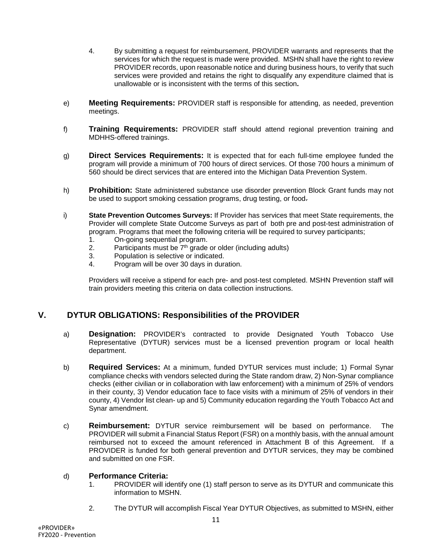- 4. By submitting a request for reimbursement, PROVIDER warrants and represents that the services for which the request is made were provided. MSHN shall have the right to review PROVIDER records, upon reasonable notice and during business hours, to verify that such services were provided and retains the right to disqualify any expenditure claimed that is unallowable or is inconsistent with the terms of this section**.**
- e) **Meeting Requirements:** PROVIDER staff is responsible for attending, as needed, prevention meetings.
- f) **Training Requirements:** PROVIDER staff should attend regional prevention training and MDHHS-offered trainings.
- g) **Direct Services Requirements:** It is expected that for each full-time employee funded the program will provide a minimum of 700 hours of direct services. Of those 700 hours a minimum of 560 should be direct services that are entered into the Michigan Data Prevention System.
- h) **Prohibition:** State administered substance use disorder prevention Block Grant funds may not be used to support smoking cessation programs, drug testing, or food-
- i) **State Prevention Outcomes Surveys:** If Provider has services that meet State requirements, the Provider will complete State Outcome Surveys as part of both pre and post-test administration of program. Programs that meet the following criteria will be required to survey participants;
	- 1. On-going sequential program.
	- 2. Participants must be  $7<sup>th</sup>$  grade or older (including adults)
	- 3. Population is selective or indicated.
	- 4. Program will be over 30 days in duration.

Providers will receive a stipend for each pre- and post-test completed. MSHN Prevention staff will train providers meeting this criteria on data collection instructions.

### **V. DYTUR OBLIGATIONS: Responsibilities of the PROVIDER**

- a) **Designation:** PROVIDER's contracted to provide Designated Youth Tobacco Use Representative (DYTUR) services must be a licensed prevention program or local health department.
- b) **Required Services:** At a minimum, funded DYTUR services must include; 1) Formal Synar compliance checks with vendors selected during the State random draw, 2) Non-Synar compliance checks (either civilian or in collaboration with law enforcement) with a minimum of 25% of vendors in their county, 3) Vendor education face to face visits with a minimum of 25% of vendors in their county, 4) Vendor list clean- up and 5) Community education regarding the Youth Tobacco Act and Synar amendment.
- c) **Reimbursement:** DYTUR service reimbursement will be based on performance. The PROVIDER will submit a Financial Status Report (FSR) on a monthly basis, with the annual amount reimbursed not to exceed the amount referenced in Attachment B of this Agreement. If a PROVIDER is funded for both general prevention and DYTUR services, they may be combined and submitted on one FSR.

# d) **Performance Criteria:**

- PROVIDER will identify one (1) staff person to serve as its DYTUR and communicate this information to MSHN.
- 2. The DYTUR will accomplish Fiscal Year DYTUR Objectives, as submitted to MSHN, either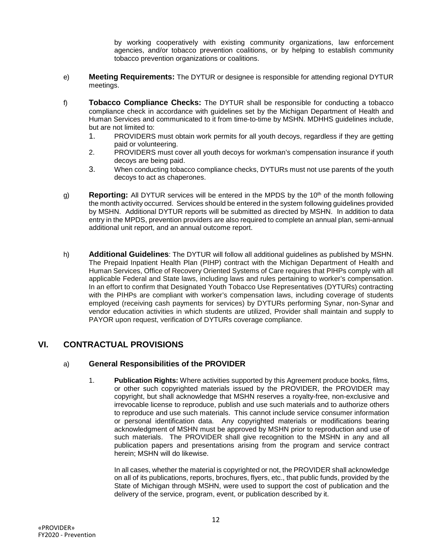by working cooperatively with existing community organizations, law enforcement agencies, and/or tobacco prevention coalitions, or by helping to establish community tobacco prevention organizations or coalitions.

- e) **Meeting Requirements:** The DYTUR or designee is responsible for attending regional DYTUR meetings.
- f) **Tobacco Compliance Checks:** The DYTUR shall be responsible for conducting a tobacco compliance check in accordance with guidelines set by the Michigan Department of Health and Human Services and communicated to it from time-to-time by MSHN. MDHHS guidelines include, but are not limited to:
	- 1. PROVIDERS must obtain work permits for all youth decoys, regardless if they are getting paid or volunteering.
	- 2. PROVIDERS must cover all youth decoys for workman's compensation insurance if youth decoys are being paid.
	- 3. When conducting tobacco compliance checks, DYTURs must not use parents of the youth decoys to act as chaperones.
- g) **Reporting:** All DYTUR services will be entered in the MPDS by the 10th of the month following the month activity occurred.Services should be entered in the system following guidelines provided by MSHN. Additional DYTUR reports will be submitted as directed by MSHN. In addition to data entry in the MPDS, prevention providers are also required to complete an annual plan, semi-annual additional unit report, and an annual outcome report.
- h) **Additional Guidelines**: The DYTUR will follow all additional guidelines as published by MSHN. The Prepaid Inpatient Health Plan (PIHP) contract with the Michigan Department of Health and Human Services, Office of Recovery Oriented Systems of Care requires that PIHPs comply with all applicable Federal and State laws, including laws and rules pertaining to worker's compensation. In an effort to confirm that Designated Youth Tobacco Use Representatives (DYTURs) contracting with the PIHPs are compliant with worker's compensation laws, including coverage of students employed (receiving cash payments for services) by DYTURs performing Synar, non-Synar and vendor education activities in which students are utilized, Provider shall maintain and supply to PAYOR upon request, verification of DYTURs coverage compliance.

### **VI. CONTRACTUAL PROVISIONS**

#### a) **General Responsibilities of the PROVIDER**

1. **Publication Rights:** Where activities supported by this Agreement produce books, films, or other such copyrighted materials issued by the PROVIDER, the PROVIDER may copyright, but shall acknowledge that MSHN reserves a royalty-free, non-exclusive and irrevocable license to reproduce, publish and use such materials and to authorize others to reproduce and use such materials. This cannot include service consumer information or personal identification data. Any copyrighted materials or modifications bearing acknowledgment of MSHN must be approved by MSHN prior to reproduction and use of such materials. The PROVIDER shall give recognition to the MSHN in any and all publication papers and presentations arising from the program and service contract herein; MSHN will do likewise.

In all cases, whether the material is copyrighted or not, the PROVIDER shall acknowledge on all of its publications, reports, brochures, flyers, etc., that public funds, provided by the State of Michigan through MSHN, were used to support the cost of publication and the delivery of the service, program, event, or publication described by it.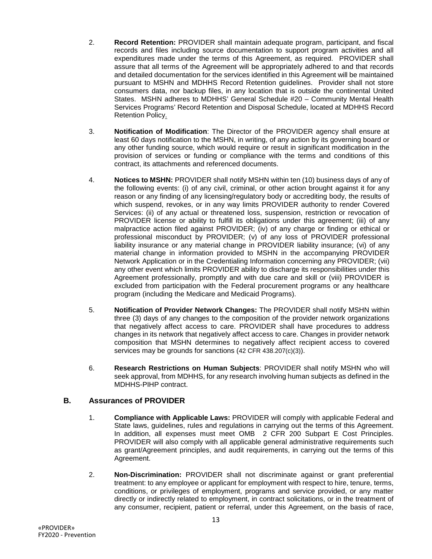- 2. **Record Retention:** PROVIDER shall maintain adequate program, participant, and fiscal records and files including source documentation to support program activities and all expenditures made under the terms of this Agreement, as required. PROVIDER shall assure that all terms of the Agreement will be appropriately adhered to and that records and detailed documentation for the services identified in this Agreement will be maintained pursuant to MSHN and MDHHS Record Retention guidelines. Provider shall not store consumers data, nor backup files, in any location that is outside the continental United States. MSHN adheres to MDHHS' General Schedule #20 – Community Mental Health Services Programs' Record Retention and Disposal Schedule, located at MDHHS Record Retention Policy.
- 3. **Notification of Modification**: The Director of the PROVIDER agency shall ensure at least 60 days notification to the MSHN, in writing, of any action by its governing board or any other funding source, which would require or result in significant modification in the provision of services or funding or compliance with the terms and conditions of this contract, its attachments and referenced documents.
- 4. **Notices to MSHN:** PROVIDER shall notify MSHN within ten (10) business days of any of the following events: (i) of any civil, criminal, or other action brought against it for any reason or any finding of any licensing/regulatory body or accrediting body, the results of which suspend, revokes, or in any way limits PROVIDER authority to render Covered Services: (ii) of any actual or threatened loss, suspension, restriction or revocation of PROVIDER license or ability to fulfill its obligations under this agreement; (iii) of any malpractice action filed against PROVIDER; (iv) of any charge or finding or ethical or professional misconduct by PROVIDER; (v) of any loss of PROVIDER professional liability insurance or any material change in PROVIDER liability insurance; (vi) of any material change in information provided to MSHN in the accompanying PROVIDER Network Application or in the Credentialing Information concerning any PROVIDER; (vii) any other event which limits PROVIDER ability to discharge its responsibilities under this Agreement professionally, promptly and with due care and skill or (viii) PROVIDER is excluded from participation with the Federal procurement programs or any healthcare program (including the Medicare and Medicaid Programs).
- 5. **Notification of Provider Network Changes:** The PROVIDER shall notify MSHN within three (3) days of any changes to the composition of the provider network organizations that negatively affect access to care. PROVIDER shall have procedures to address changes in its network that negatively affect access to care. Changes in provider network composition that MSHN determines to negatively affect recipient access to covered services may be grounds for sanctions (42 CFR 438.207(c)(3)).
- 6. **Research Restrictions on Human Subjects**: PROVIDER shall notify MSHN who will seek approval, from MDHHS, for any research involving human subjects as defined in the MDHHS-PIHP contract.

#### **B. Assurances of PROVIDER**

- 1. **Compliance with Applicable Laws:** PROVIDER will comply with applicable Federal and State laws, guidelines, rules and regulations in carrying out the terms of this Agreement. In addition, all expenses must meet OMB 2 CFR 200 Subpart E Cost Principles. PROVIDER will also comply with all applicable general administrative requirements such as grant/Agreement principles, and audit requirements, in carrying out the terms of this Agreement.
- 2. **Non-Discrimination:** PROVIDER shall not discriminate against or grant preferential treatment: to any employee or applicant for employment with respect to hire, tenure, terms, conditions, or privileges of employment, programs and service provided, or any matter directly or indirectly related to employment, in contract solicitations, or in the treatment of any consumer, recipient, patient or referral, under this Agreement, on the basis of race,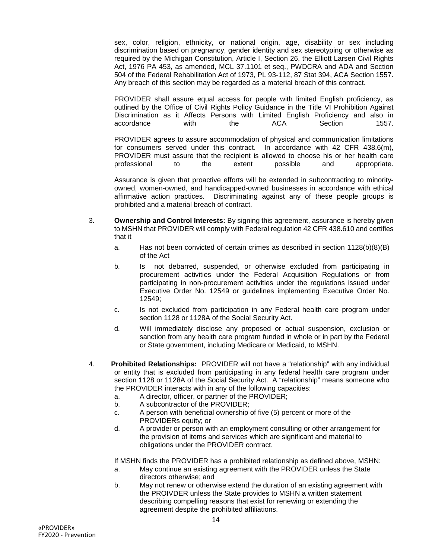sex, color, religion, ethnicity, or national origin, age, disability or sex including discrimination based on pregnancy, gender identity and sex stereotyping or otherwise as required by the Michigan Constitution, Article I, Section 26, the Elliott Larsen Civil Rights Act, 1976 PA 453, as amended, MCL 37.1101 et seq., PWDCRA and ADA and Section 504 of the Federal Rehabilitation Act of 1973, PL 93-112, 87 Stat 394, ACA Section 1557. Any breach of this section may be regarded as a material breach of this contract.

PROVIDER shall assure equal access for people with limited English proficiency, as outlined by the Office of Civil Rights Policy Guidance in the Title VI Prohibition Against Discrimination as it Affects Persons with Limited English Proficiency and also in accordance with the ACA Section 1557.

PROVIDER agrees to assure accommodation of physical and communication limitations for consumers served under this contract. In accordance with 42 CFR 438.6(m), PROVIDER must assure that the recipient is allowed to choose his or her health care professional to the extent possible and appropriate.

Assurance is given that proactive efforts will be extended in subcontracting to minorityowned, women-owned, and handicapped-owned businesses in accordance with ethical affirmative action practices. Discriminating against any of these people groups is prohibited and a material breach of contract.

- 3. **Ownership and Control Interests:** By signing this agreement, assurance is hereby given to MSHN that PROVIDER will comply with Federal regulation 42 CFR 438.610 and certifies that it
	- a. Has not been convicted of certain crimes as described in section 1128(b)(8)(B) of the Act
	- b. Is not debarred, suspended, or otherwise excluded from participating in procurement activities under the Federal Acquisition Regulations or from participating in non-procurement activities under the regulations issued under Executive Order No. 12549 or guidelines implementing Executive Order No. 12549;
	- c. Is not excluded from participation in any Federal health care program under section 1128 or 1128A of the Social Security Act.
	- d. Will immediately disclose any proposed or actual suspension, exclusion or sanction from any health care program funded in whole or in part by the Federal or State government, including Medicare or Medicaid, to MSHN.
- 4. **Prohibited Relationships:** PROVIDER will not have a "relationship" with any individual or entity that is excluded from participating in any federal health care program under section 1128 or 1128A of the Social Security Act. A "relationship" means someone who the PROVIDER interacts with in any of the following capacities:
	- a. A director, officer, or partner of the PROVIDER;
	- b. A subcontractor of the PROVIDER;
	- c. A person with beneficial ownership of five (5) percent or more of the PROVIDERs equity; or
	- d. A provider or person with an employment consulting or other arrangement for the provision of items and services which are significant and material to obligations under the PROVIDER contract.

If MSHN finds the PROVIDER has a prohibited relationship as defined above, MSHN:

- a. May continue an existing agreement with the PROVIDER unless the State directors otherwise; and
- b. May not renew or otherwise extend the duration of an existing agreement with the PROIVDER unless the State provides to MSHN a written statement describing compelling reasons that exist for renewing or extending the agreement despite the prohibited affiliations.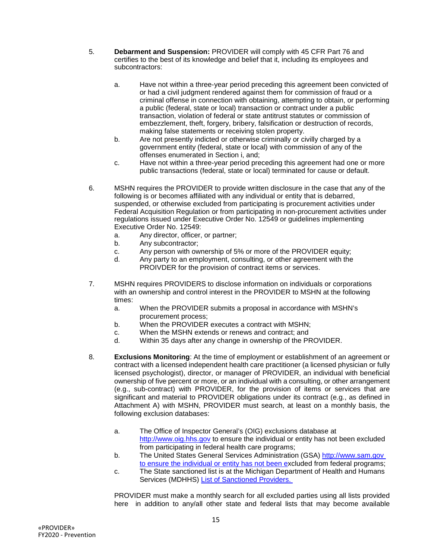- 5. **Debarment and Suspension:** PROVIDER will comply with 45 CFR Part 76 and certifies to the best of its knowledge and belief that it, including its employees and subcontractors:
	- a. Have not within a three-year period preceding this agreement been convicted of or had a civil judgment rendered against them for commission of fraud or a criminal offense in connection with obtaining, attempting to obtain, or performing a public (federal, state or local) transaction or contract under a public transaction, violation of federal or state antitrust statutes or commission of embezzlement, theft, forgery, bribery, falsification or destruction of records, making false statements or receiving stolen property.
	- b. Are not presently indicted or otherwise criminally or civilly charged by a government entity (federal, state or local) with commission of any of the offenses enumerated in Section i, and;
	- c. Have not within a three-year period preceding this agreement had one or more public transactions (federal, state or local) terminated for cause or default.
- 6. MSHN requires the PROVIDER to provide written disclosure in the case that any of the following is or becomes affiliated with any individual or entity that is debarred, suspended, or otherwise excluded from participating is procurement activities under Federal Acquisition Regulation or from participating in non-procurement activities under regulations issued under Executive Order No. 12549 or guidelines implementing Executive Order No. 12549:
	- a. Any director, officer, or partner;
	- b. Any subcontractor;
	- c. Any person with ownership of 5% or more of the PROVIDER equity;
	- d. Any party to an employment, consulting, or other agreement with the PROIVDER for the provision of contract items or services.
- 7. MSHN requires PROVIDERS to disclose information on individuals or corporations with an ownership and control interest in the PROVIDER to MSHN at the following times:
	- a. When the PROVIDER submits a proposal in accordance with MSHN's procurement process;
	- b. When the PROVIDER executes a contract with MSHN;
	- c. When the MSHN extends or renews and contract; and
	- d. Within 35 days after any change in ownership of the PROVIDER.
- 8. **Exclusions Monitoring**: At the time of employment or establishment of an agreement or contract with a licensed independent health care practitioner (a licensed physician or fully licensed psychologist), director, or manager of PROVIDER, an individual with beneficial ownership of five percent or more, or an individual with a consulting, or other arrangement (e.g., sub-contract) with PROVIDER, for the provision of items or services that are significant and material to PROVIDER obligations under its contract (e.g., as defined in Attachment A) with MSHN, PROVIDER must search, at least on a monthly basis, the following exclusion databases:
	- a. The Office of Inspector General's (OIG) exclusions database at [http://www.oig.hhs.gov](http://www.oig.hhs.gov/) to ensure the individual or entity has not been excluded from participating in federal health care programs;
	- b. The United States General Services Administration (GSA) [http://www.sam.gov](http://www.sam.gov/) to ensure the individual or entity has not been excluded from federal programs;
	- c. The State sanctioned list is at the Michigan Department of Health and Humans Services (MDHHS) [List of Sanctioned Providers.](http://www.michigan.gov/mdhhs/0,5885,7-339-71551_2945_42542_42543_42546_42551-16459--,00.html)

PROVIDER must make a monthly search for all excluded parties using all lists provided here in addition to any/all other state and federal lists that may become available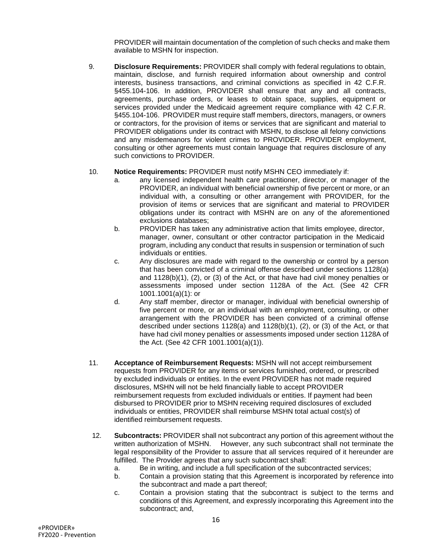PROVIDER will maintain documentation of the completion of such checks and make them available to MSHN for inspection.

9. **Disclosure Requirements:** PROVIDER shall comply with federal regulations to obtain, maintain, disclose, and furnish required information about ownership and control interests, business transactions, and criminal convictions as specified in 42 C.F.R. §455.104-106. In addition, PROVIDER shall ensure that any and all contracts, agreements, purchase orders, or leases to obtain space, supplies, equipment or services provided under the Medicaid agreement require compliance with 42 C.F.R. §455.104-106. PROVIDER must require staff members, directors, managers, or owners or contractors, for the provision of items or services that are significant and material to PROVIDER obligations under its contract with MSHN, to disclose all felony convictions and any misdemeanors for violent crimes to PROVIDER. PROVIDER employment, consulting or other agreements must contain language that requires disclosure of any such convictions to PROVIDER.

#### 10. **Notice Requirements:** PROVIDER must notify MSHN CEO immediately if:

- a. any licensed independent health care practitioner, director, or manager of the PROVIDER, an individual with beneficial ownership of five percent or more, or an individual with, a consulting or other arrangement with PROVIDER, for the provision of items or services that are significant and material to PROVIDER obligations under its contract with MSHN are on any of the aforementioned exclusions databases;
- b. PROVIDER has taken any administrative action that limits employee, director, manager, owner, consultant or other contractor participation in the Medicaid program, including any conduct that results in suspension or termination of such individuals or entities.
- c. Any disclosures are made with regard to the ownership or control by a person that has been convicted of a criminal offense described under sections 1128(a) and 1128(b)(1), (2), or (3) of the Act, or that have had civil money penalties or assessments imposed under section 1128A of the Act. (See 42 CFR 1001.1001(a)(1): or
- d. Any staff member, director or manager, individual with beneficial ownership of five percent or more, or an individual with an employment, consulting, or other arrangement with the PROVIDER has been convicted of a criminal offense described under sections  $1128(a)$  and  $1128(b)(1)$ ,  $(2)$ , or  $(3)$  of the Act, or that have had civil money penalties or assessments imposed under section 1128A of the Act. (See 42 CFR 1001.1001(a)(1)).
- 11. **Acceptance of Reimbursement Requests:** MSHN will not accept reimbursement requests from PROVIDER for any items or services furnished, ordered, or prescribed by excluded individuals or entities. In the event PROVIDER has not made required disclosures, MSHN will not be held financially liable to accept PROVIDER reimbursement requests from excluded individuals or entities. If payment had been disbursed to PROVIDER prior to MSHN receiving required disclosures of excluded individuals or entities, PROVIDER shall reimburse MSHN total actual cost(s) of identified reimbursement requests.
- 12. **Subcontracts:** PROVIDER shall not subcontract any portion of this agreement without the written authorization of MSHN. However, any such subcontract shall not terminate the legal responsibility of the Provider to assure that all services required of it hereunder are fulfilled. The Provider agrees that any such subcontract shall:
	- a. Be in writing, and include a full specification of the subcontracted services;
	- b. Contain a provision stating that this Agreement is incorporated by reference into the subcontract and made a part thereof;
	- c. Contain a provision stating that the subcontract is subject to the terms and conditions of this Agreement, and expressly incorporating this Agreement into the subcontract; and,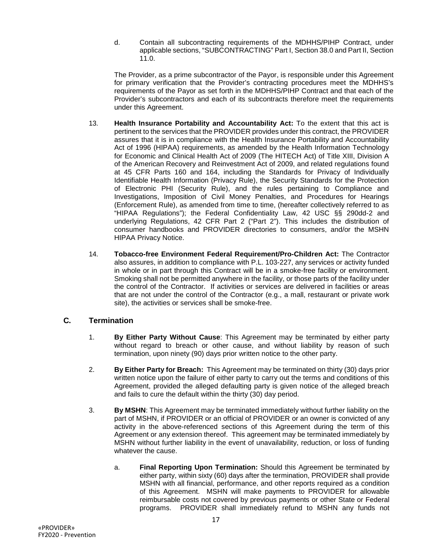d. Contain all subcontracting requirements of the MDHHS/PIHP Contract, under applicable sections, "SUBCONTRACTING" Part I, Section 38.0 and Part II, Section 11.0.

The Provider, as a prime subcontractor of the Payor, is responsible under this Agreement for primary verification that the Provider's contracting procedures meet the MDHHS's requirements of the Payor as set forth in the MDHHS/PIHP Contract and that each of the Provider's subcontractors and each of its subcontracts therefore meet the requirements under this Agreement.

- 13. **Health Insurance Portability and Accountability Act:** To the extent that this act is pertinent to the services that the PROVIDER provides under this contract, the PROVIDER assures that it is in compliance with the Health Insurance Portability and Accountability Act of 1996 (HIPAA) requirements, as amended by the Health Information Technology for Economic and Clinical Health Act of 2009 (The HITECH Act) of Title XIII, Division A of the American Recovery and Reinvestment Act of 2009, and related regulations found at 45 CFR Parts 160 and 164, including the Standards for Privacy of Individually Identifiable Health Information (Privacy Rule), the Security Standards for the Protection of Electronic PHI (Security Rule), and the rules pertaining to Compliance and Investigations, Imposition of Civil Money Penalties, and Procedures for Hearings (Enforcement Rule), as amended from time to time, (hereafter collectively referred to as "HIPAA Regulations"); the Federal Confidentiality Law, 42 USC §§ 290dd-2 and underlying Regulations, 42 CFR Part 2 ("Part 2"). This includes the distribution of consumer handbooks and PROVIDER directories to consumers, and/or the MSHN HIPAA Privacy Notice.
- 14. **Tobacco-free Environment Federal Requirement/Pro-Children Act:** The Contractor also assures, in addition to compliance with P.L. 103-227, any services or activity funded in whole or in part through this Contract will be in a smoke-free facility or environment. Smoking shall not be permitted anywhere in the facility, or those parts of the facility under the control of the Contractor. If activities or services are delivered in facilities or areas that are not under the control of the Contractor (e.g., a mall, restaurant or private work site), the activities or services shall be smoke-free.

#### **C. Termination**

- 1. **By Either Party Without Cause**: This Agreement may be terminated by either party without regard to breach or other cause, and without liability by reason of such termination, upon ninety (90) days prior written notice to the other party.
- 2. **By Either Party for Breach:** This Agreement may be terminated on thirty (30) days prior written notice upon the failure of either party to carry out the terms and conditions of this Agreement, provided the alleged defaulting party is given notice of the alleged breach and fails to cure the default within the thirty (30) day period.
- 3. **By MSHN**: This Agreement may be terminated immediately without further liability on the part of MSHN, if PROVIDER or an official of PROVIDER or an owner is convicted of any activity in the above-referenced sections of this Agreement during the term of this Agreement or any extension thereof. This agreement may be terminated immediately by MSHN without further liability in the event of unavailability, reduction, or loss of funding whatever the cause.
	- a. **Final Reporting Upon Termination:** Should this Agreement be terminated by either party, within sixty (60) days after the termination, PROVIDER shall provide MSHN with all financial, performance, and other reports required as a condition of this Agreement. MSHN will make payments to PROVIDER for allowable reimbursable costs not covered by previous payments or other State or Federal programs. PROVIDER shall immediately refund to MSHN any funds not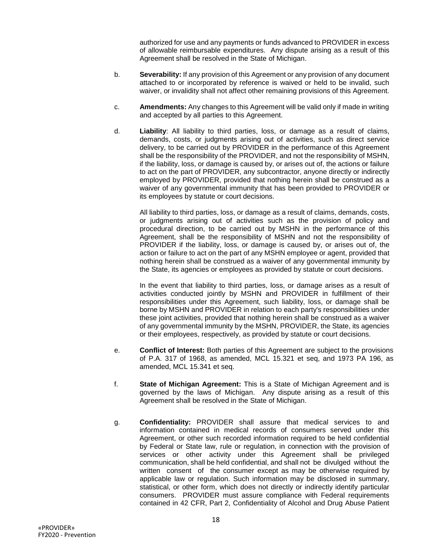authorized for use and any payments or funds advanced to PROVIDER in excess of allowable reimbursable expenditures. Any dispute arising as a result of this Agreement shall be resolved in the State of Michigan.

- b. **Severability:** If any provision of this Agreement or any provision of any document attached to or incorporated by reference is waived or held to be invalid, such waiver, or invalidity shall not affect other remaining provisions of this Agreement.
- c. **Amendments:** Any changes to this Agreement will be valid only if made in writing and accepted by all parties to this Agreement.
- d. **Liability**: All liability to third parties, loss, or damage as a result of claims, demands, costs, or judgments arising out of activities, such as direct service delivery, to be carried out by PROVIDER in the performance of this Agreement shall be the responsibility of the PROVIDER, and not the responsibility of MSHN, if the liability, loss, or damage is caused by, or arises out of, the actions or failure to act on the part of PROVIDER, any subcontractor, anyone directly or indirectly employed by PROVIDER, provided that nothing herein shall be construed as a waiver of any governmental immunity that has been provided to PROVIDER or its employees by statute or court decisions.

All liability to third parties, loss, or damage as a result of claims, demands, costs, or judgments arising out of activities such as the provision of policy and procedural direction, to be carried out by MSHN in the performance of this Agreement, shall be the responsibility of MSHN and not the responsibility of PROVIDER if the liability, loss, or damage is caused by, or arises out of, the action or failure to act on the part of any MSHN employee or agent, provided that nothing herein shall be construed as a waiver of any governmental immunity by the State, its agencies or employees as provided by statute or court decisions.

In the event that liability to third parties, loss, or damage arises as a result of activities conducted jointly by MSHN and PROVIDER in fulfillment of their responsibilities under this Agreement, such liability, loss, or damage shall be borne by MSHN and PROVIDER in relation to each party's responsibilities under these joint activities, provided that nothing herein shall be construed as a waiver of any governmental immunity by the MSHN, PROVIDER, the State, its agencies or their employees, respectively, as provided by statute or court decisions.

- e. **Conflict of Interest:** Both parties of this Agreement are subject to the provisions of P.A. 317 of 1968, as amended, MCL 15.321 et seq, and 1973 PA 196, as amended, MCL 15.341 et seq.
- f. **State of Michigan Agreement:** This is a State of Michigan Agreement and is governed by the laws of Michigan. Any dispute arising as a result of this Agreement shall be resolved in the State of Michigan.
- g. **Confidentiality:** PROVIDER shall assure that medical services to and information contained in medical records of consumers served under this Agreement, or other such recorded information required to be held confidential by Federal or State law, rule or regulation, in connection with the provision of services or other activity under this Agreement shall be privileged communication, shall be held confidential, and shall not be divulged without the written consent of the consumer except as may be otherwise required by applicable law or regulation. Such information may be disclosed in summary, statistical, or other form, which does not directly or indirectly identify particular consumers. PROVIDER must assure compliance with Federal requirements contained in 42 CFR, Part 2, Confidentiality of Alcohol and Drug Abuse Patient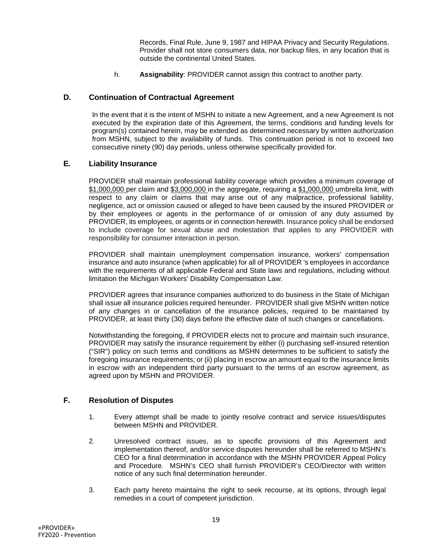Records, Final Rule, June 9, 1987 and HIPAA Privacy and Security Regulations. Provider shall not store consumers data, nor backup files, in any location that is outside the continental United States.

h. **Assignability**: PROVIDER cannot assign this contract to another party.

#### **D. Continuation of Contractual Agreement**

In the event that it is the intent of MSHN to initiate a new Agreement, and a new Agreement is not executed by the expiration date of this Agreement, the terms, conditions and funding levels for program(s) contained herein, may be extended as determined necessary by written authorization from MSHN, subject to the availability of funds. This continuation period is not to exceed two consecutive ninety (90) day periods, unless otherwise specifically provided for.

#### **E. Liability Insurance**

PROVIDER shall maintain professional liability coverage which provides a minimum coverage of \$1,000,000 per claim and \$3,000,000 in the aggregate, requiring a \$1,000,000 umbrella limit, with respect to any claim or claims that may arise out of any malpractice, professional liability, negligence, act or omission caused or alleged to have been caused by the insured PROVIDER or by their employees or agents in the performance of or omission of any duty assumed by PROVIDER, its employees, or agents or in connection herewith. Insurance policy shall be endorsed to include coverage for sexual abuse and molestation that applies to any PROVIDER with responsibility for consumer interaction in person.

PROVIDER shall maintain unemployment compensation insurance, workers' compensation insurance and auto insurance (when applicable) for all of PROVIDER 's employees in accordance with the requirements of all applicable Federal and State laws and regulations, including without limitation the Michigan Workers' Disability Compensation Law.

PROVIDER agrees that insurance companies authorized to do business in the State of Michigan shall issue all insurance policies required hereunder. PROVIDER shall give MSHN written notice of any changes in or cancellation of the insurance policies, required to be maintained by PROVIDER, at least thirty (30) days before the effective date of such changes or cancellations.

Notwithstanding the foregoing, if PROVIDER elects not to procure and maintain such insurance, PROVIDER may satisfy the insurance requirement by either (i) purchasing self-insured retention ("SIR") policy on such terms and conditions as MSHN determines to be sufficient to satisfy the foregoing insurance requirements; or (ii) placing in escrow an amount equal to the insurance limits in escrow with an independent third party pursuant to the terms of an escrow agreement, as agreed upon by MSHN and PROVIDER.

#### **F. Resolution of Disputes**

- 1. Every attempt shall be made to jointly resolve contract and service issues/disputes between MSHN and PROVIDER.
- 2. Unresolved contract issues, as to specific provisions of this Agreement and implementation thereof, and/or service disputes hereunder shall be referred to MSHN's CEO for a final determination in accordance with the MSHN PROVIDER Appeal Policy and Procedure. MSHN's CEO shall furnish PROVIDER's CEO/Director with written notice of any such final determination hereunder.
- 3. Each party hereto maintains the right to seek recourse, at its options, through legal remedies in a court of competent jurisdiction.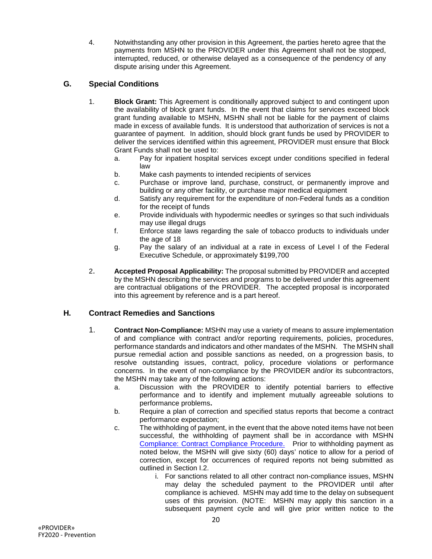4. Notwithstanding any other provision in this Agreement, the parties hereto agree that the payments from MSHN to the PROVIDER under this Agreement shall not be stopped, interrupted, reduced, or otherwise delayed as a consequence of the pendency of any dispute arising under this Agreement.

### **G. Special Conditions**

- 1. **Block Grant:** This Agreement is conditionally approved subject to and contingent upon the availability of block grant funds. In the event that claims for services exceed block grant funding available to MSHN, MSHN shall not be liable for the payment of claims made in excess of available funds. It is understood that authorization of services is not a guarantee of payment. In addition, should block grant funds be used by PROVIDER to deliver the services identified within this agreement, PROVIDER must ensure that Block Grant Funds shall not be used to:
	- a. Pay for inpatient hospital services except under conditions specified in federal law
	- b. Make cash payments to intended recipients of services
	- c. Purchase or improve land, purchase, construct, or permanently improve and building or any other facility, or purchase major medical equipment
	- d. Satisfy any requirement for the expenditure of non-Federal funds as a condition for the receipt of funds
	- e. Provide individuals with hypodermic needles or syringes so that such individuals may use illegal drugs
	- f. Enforce state laws regarding the sale of tobacco products to individuals under the age of 18
	- g. Pay the salary of an individual at a rate in excess of Level I of the Federal Executive Schedule, or approximately \$199,700
- 2. **Accepted Proposal Applicability:** The proposal submitted by PROVIDER and accepted by the MSHN describing the services and programs to be delivered under this agreement are contractual obligations of the PROVIDER. The accepted proposal is incorporated into this agreement by reference and is a part hereof.

### **H. Contract Remedies and Sanctions**

- 1. **Contract Non-Compliance:** MSHN may use a variety of means to assure implementation of and compliance with contract and/or reporting requirements, policies, procedures, performance standards and indicators and other mandates of the MSHN. The MSHN shall pursue remedial action and possible sanctions as needed, on a progression basis, to resolve outstanding issues, contract, policy, procedure violations or performance concerns. In the event of non-compliance by the PROVIDER and/or its subcontractors, the MSHN may take any of the following actions:
	- a. Discussion with the PROVIDER to identify potential barriers to effective performance and to identify and implement mutually agreeable solutions to performance problems**.**
	- b. Require a plan of correction and specified status reports that become a contract performance expectation;
	- c. The withholding of payment, in the event that the above noted items have not been successful, the withholding of payment shall be in accordance with MSHN [Compliance: Contract Compliance Procedure.](http://www.midstatehealthnetwork.org/policies/ProviderNetwork-procedures.php) Prior to withholding payment as noted below, the MSHN will give sixty (60) days' notice to allow for a period of correction, except for occurrences of required reports not being submitted as outlined in Section I.2.
		- i. For sanctions related to all other contract non-compliance issues, MSHN may delay the scheduled payment to the PROVIDER until after compliance is achieved. MSHN may add time to the delay on subsequent uses of this provision. (NOTE: MSHN may apply this sanction in a subsequent payment cycle and will give prior written notice to the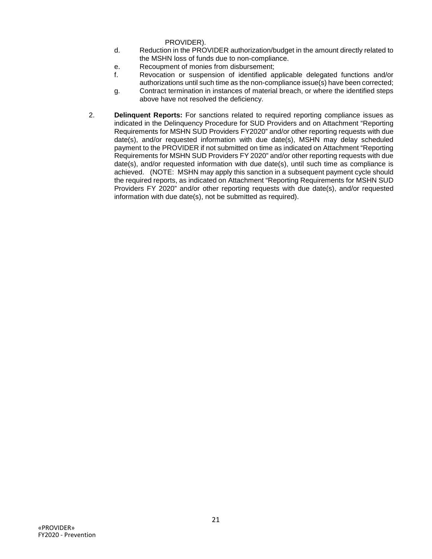PROVIDER).

- d. Reduction in the PROVIDER authorization/budget in the amount directly related to the MSHN loss of funds due to non-compliance.
- e. Recoupment of monies from disbursement;
- f. Revocation or suspension of identified applicable delegated functions and/or authorizations until such time as the non-compliance issue(s) have been corrected;
- g. Contract termination in instances of material breach, or where the identified steps above have not resolved the deficiency.
- 2. **Delinquent Reports:** For sanctions related to required reporting compliance issues as indicated in the Delinquency Procedure for SUD Providers and on Attachment "Reporting Requirements for MSHN SUD Providers FY2020" and/or other reporting requests with due date(s), and/or requested information with due date(s), MSHN may delay scheduled payment to the PROVIDER if not submitted on time as indicated on Attachment "Reporting Requirements for MSHN SUD Providers FY 2020" and/or other reporting requests with due date(s), and/or requested information with due date(s), until such time as compliance is achieved. (NOTE: MSHN may apply this sanction in a subsequent payment cycle should the required reports, as indicated on Attachment "Reporting Requirements for MSHN SUD Providers FY 2020" and/or other reporting requests with due date(s), and/or requested information with due date(s), not be submitted as required).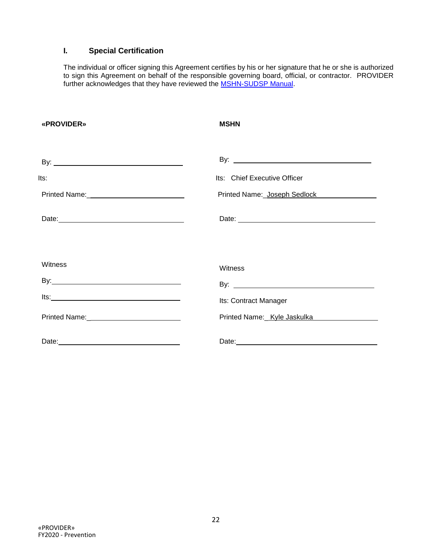### **I. Special Certification**

The individual or officer signing this Agreement certifies by his or her signature that he or she is authorized to sign this Agreement on behalf of the responsible governing board, official, or contractor. PROVIDER further acknowledges that they have reviewed the [MSHN-SUDSP Manual.](http://www.midstatehealthnetwork.org/provider-network/docs/FY18%20SUDSP%20Manual%20Final.pdf)

| «PROVIDER»                                                                                                     | <b>MSHN</b>                  |
|----------------------------------------------------------------------------------------------------------------|------------------------------|
|                                                                                                                |                              |
|                                                                                                                |                              |
| lts:                                                                                                           | Its: Chief Executive Officer |
|                                                                                                                | Printed Name: Joseph Sedlock |
| Date: 2008 2010 2021 2022 2022 2023 2024 2022 2022 2023 2024 2022 2023 2024 2022 2023 2024 2022 2023 2024 2022 |                              |
| Witness                                                                                                        | Witness                      |
|                                                                                                                |                              |
| $Its: ____________$                                                                                            | Its: Contract Manager        |
|                                                                                                                | Printed Name:_Kyle Jaskulka  |
|                                                                                                                | Date: <u>Date:</u> 2004      |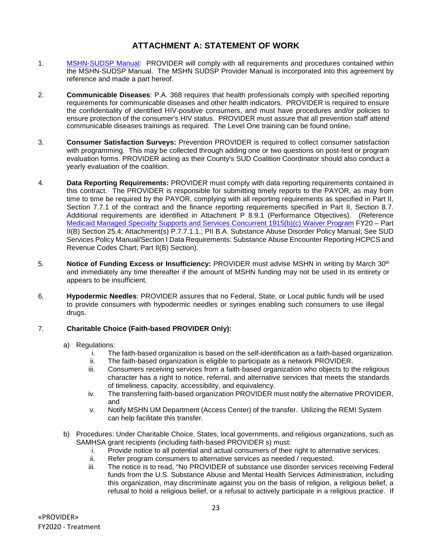### **ATTACHMENT A: STATEMENT OF WORK**

- 1. [MSHN-SUDSP Manual:](http://www.midstatehealthnetwork.org/provider-network/docs/FY18%20SUDSP%20Manual%20Final.pdf)PROVIDER will comply with all requirements and procedures contained within the MSHN-SUDSP Manual. The MSHN SUDSP Provider Manual is incorporated into this agreement by reference and made a part hereof.
- 2. **Communicable Diseases**: P.A. 368 requires that health professionals comply with specified reporting requirements for communicable diseases and other health indicators.PROVIDER is required to ensure the confidentiality of identified HIV-positive consumers, and must have procedures and/or policies to ensure protection of the consumer's HIV status. PROVIDER must assure that all prevention staff attend communicable diseases trainings as required. The Level One training can be found online.
- 3. **Consumer Satisfaction Surveys:** Prevention PROVIDER is required to collect consumer satisfaction with programming. This may be collected through adding one or two questions on post-test or program evaluation forms. PROVIDER acting as their County's SUD Coalition Coordinator should also conduct a yearly evaluation of the coalition.
- 4. **Data Reporting Requirements:** PROVIDER must comply with data reporting requirements contained in this contract. The PROVIDER is responsible for submitting timely reports to the PAYOR, as may from time to time be required by the PAYOR, complying with all reporting requirements as specified in Part II, Section 7.7.1 of the contract and the finance reporting requirements specified in Part II, Section 8.7. Additional requirements are identified in Attachment P 8.9.1 (Performance Objectives). (Reference [Medicaid Managed Specialty Supports and Services Concurrent 1915\(b\)\(c\) Waiver Program](http://www.midstatehealthnetwork.org/About.php) FY20 – Part II(B) Section 25.4; Attachment(s) P.7.7.1.1.; PII B.A. Substance Abuse Disorder Policy Manual; See SUD Services Policy Manual/Section I Data Requirements: Substance Abuse Encounter Reporting HCPCS and Revenue Codes Chart; Part II(B) Section).
- 5. **Notice of Funding Excess or Insufficiency:** PROVIDER must advise MSHN in writing by March 30<sup>th</sup> and immediately any time thereafter if the amount of MSHN funding may not be used in its entirety or appears to be insufficient.
- 6. **Hypodermic Needles**: PROVIDER assures that no Federal, State, or Local public funds will be used to provide consumers with hypodermic needles or syringes enabling such consumers to use illegal drugs.

#### 7. **Charitable Choice (Faith-based PROVIDER Only):**

- a) Regulations:
	- i. The faith-based organization is based on the self-identification as a faith-based organization.
	- ii. The faith-based organization is eligible to participate as a network PROVIDER.<br>iii. Consumers receiving services from a faith-based organization who objects to the
	- Consumers receiving services from a faith-based organization who objects to the religious character has a right to notice, referral, and alternative services that meets the standards of timeliness, capacity, accessibility, and equivalency.
	- iv. The transferring faith-based organization PROVIDER must notify the alternative PROVIDER, and
	- v. Notify MSHN UM Department (Access Center) of the transfer. Utilizing the REMI System can help facilitate this transfer.
- b) Procedures: Under Charitable Choice, States, local governments, and religious organizations, such as SAMHSA grant recipients (including faith-based PROVIDER s) must:
	- i. Provide notice to all potential and actual consumers of their right to alternative services.
	- ii. Refer program consumers to alternative services as needed / requested.<br>iii. The notice is to read "No PROVIDER of substance use disorder services
	- The notice is to read, "No PROVIDER of substance use disorder services receiving Federal funds from the U.S. Substance Abuse and Mental Health Services Administration, including this organization, may discriminate against you on the basis of religion, a religious belief, a refusal to hold a religious belief, or a refusal to actively participate in a religious practice. If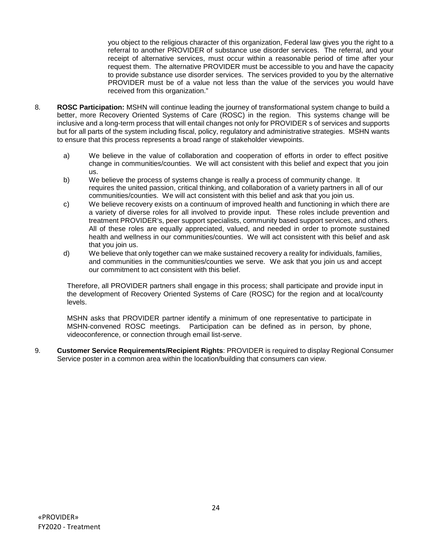you object to the religious character of this organization, Federal law gives you the right to a referral to another PROVIDER of substance use disorder services. The referral, and your receipt of alternative services, must occur within a reasonable period of time after your request them. The alternative PROVIDER must be accessible to you and have the capacity to provide substance use disorder services. The services provided to you by the alternative PROVIDER must be of a value not less than the value of the services you would have received from this organization."

- 8. **ROSC Participation:** MSHN will continue leading the journey of transformational system change to build a better, more Recovery Oriented Systems of Care (ROSC) in the region. This systems change will be inclusive and a long-term process that will entail changes not only for PROVIDER s of services and supports but for all parts of the system including fiscal, policy, regulatory and administrative strategies. MSHN wants to ensure that this process represents a broad range of stakeholder viewpoints.
	- a) We believe in the value of collaboration and cooperation of efforts in order to effect positive change in communities/counties. We will act consistent with this belief and expect that you join us.
	- b) We believe the process of systems change is really a process of community change. It requires the united passion, critical thinking, and collaboration of a variety partners in all of our communities/counties. We will act consistent with this belief and ask that you join us.
	- c) We believe recovery exists on a continuum of improved health and functioning in which there are a variety of diverse roles for all involved to provide input. These roles include prevention and treatment PROVIDER's, peer support specialists, community based support services, and others. All of these roles are equally appreciated, valued, and needed in order to promote sustained health and wellness in our communities/counties. We will act consistent with this belief and ask that you join us.
	- d) We believe that only together can we make sustained recovery a reality for individuals, families, and communities in the communities/counties we serve. We ask that you join us and accept our commitment to act consistent with this belief.

Therefore, all PROVIDER partners shall engage in this process; shall participate and provide input in the development of Recovery Oriented Systems of Care (ROSC) for the region and at local/county levels.

MSHN asks that PROVIDER partner identify a minimum of one representative to participate in MSHN-convened ROSC meetings. Participation can be defined as in person, by phone, videoconference, or connection through email list-serve.

9. **Customer Service Requirements/Recipient Rights**: PROVIDER is required to display Regional Consumer Service poster in a common area within the location/building that consumers can view.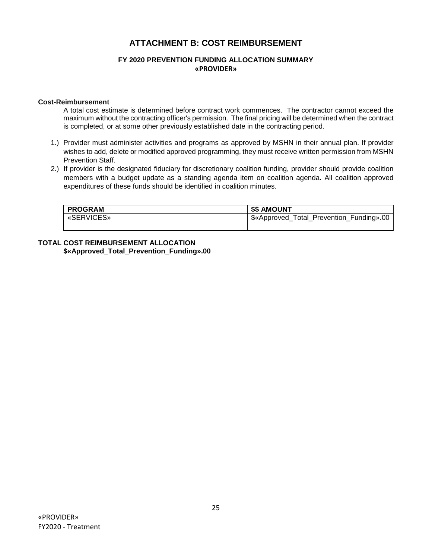### **ATTACHMENT B: COST REIMBURSEMENT**

#### **FY 2020 PREVENTION FUNDING ALLOCATION SUMMARY «PROVIDER»**

#### **Cost-Reimbursement**

A total cost estimate is determined before contract work commences. The contractor cannot exceed the maximum without the contracting officer's permission. The final pricing will be determined when the contract is completed, or at some other previously established date in the contracting period.

- 1.) Provider must administer activities and programs as approved by MSHN in their annual plan. If provider wishes to add, delete or modified approved programming, they must receive written permission from MSHN Prevention Staff.
- 2.) If provider is the designated fiduciary for discretionary coalition funding, provider should provide coalition members with a budget update as a standing agenda item on coalition agenda. All coalition approved expenditures of these funds should be identified in coalition minutes.

| <b>PROGRAM</b> | <b>AMOUNT</b><br>\$\$                               |
|----------------|-----------------------------------------------------|
| «SERVICES»     | Funding».00<br>Prevention<br>\$«Approved<br>⊤otal . |
|                |                                                     |

#### **TOTAL COST REIMBURSEMENT ALLOCATION \$«Approved\_Total\_Prevention\_Funding».00**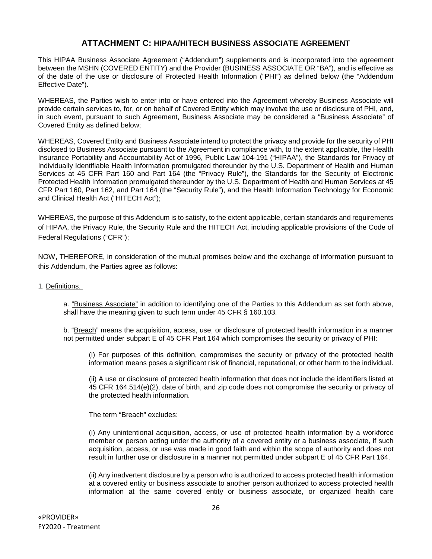### **ATTACHMENT C: HIPAA/HITECH BUSINESS ASSOCIATE AGREEMENT**

This HIPAA Business Associate Agreement ("Addendum") supplements and is incorporated into the agreement between the MSHN (COVERED ENTITY) and the Provider (BUSINESS ASSOCIATE OR "BA"), and is effective as of the date of the use or disclosure of Protected Health Information ("PHI") as defined below (the "Addendum Effective Date").

WHEREAS, the Parties wish to enter into or have entered into the Agreement whereby Business Associate will provide certain services to, for, or on behalf of Covered Entity which may involve the use or disclosure of PHI, and, in such event, pursuant to such Agreement, Business Associate may be considered a "Business Associate" of Covered Entity as defined below;

WHEREAS, Covered Entity and Business Associate intend to protect the privacy and provide for the security of PHI disclosed to Business Associate pursuant to the Agreement in compliance with, to the extent applicable, the Health Insurance Portability and Accountability Act of 1996, Public Law 104-191 ("HIPAA"), the Standards for Privacy of Individually Identifiable Health Information promulgated thereunder by the U.S. Department of Health and Human Services at 45 CFR Part 160 and Part 164 (the "Privacy Rule"), the Standards for the Security of Electronic Protected Health Information promulgated thereunder by the U.S. Department of Health and Human Services at 45 CFR Part 160, Part 162, and Part 164 (the "Security Rule"), and the Health Information Technology for Economic and Clinical Health Act ("HITECH Act");

WHEREAS, the purpose of this Addendum is to satisfy, to the extent applicable, certain standards and requirements of HIPAA, the Privacy Rule, the Security Rule and the HITECH Act, including applicable provisions of the Code of Federal Regulations ("CFR");

NOW, THEREFORE, in consideration of the mutual promises below and the exchange of information pursuant to this Addendum, the Parties agree as follows:

1. Definitions.

a. "Business Associate" in addition to identifying one of the Parties to this Addendum as set forth above, shall have the meaning given to such term under 45 CFR § 160.103.

b. "Breach" means the acquisition, access, use, or disclosure of protected health information in a manner not permitted under subpart E of 45 CFR Part 164 which compromises the security or privacy of PHI:

(i) For purposes of this definition, compromises the security or privacy of the protected health information means poses a significant risk of financial, reputational, or other harm to the individual.

(ii) A use or disclosure of protected health information that does not include the identifiers listed at 45 CFR 164.514(e)(2), date of birth, and zip code does not compromise the security or privacy of the protected health information.

The term "Breach" excludes:

(i) Any unintentional acquisition, access, or use of protected health information by a workforce member or person acting under the authority of a covered entity or a business associate, if such acquisition, access, or use was made in good faith and within the scope of authority and does not result in further use or disclosure in a manner not permitted under subpart E of 45 CFR Part 164.

(ii) Any inadvertent disclosure by a person who is authorized to access protected health information at a covered entity or business associate to another person authorized to access protected health information at the same covered entity or business associate, or organized health care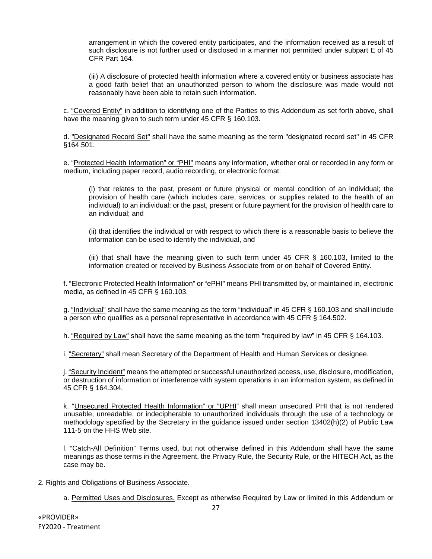arrangement in which the covered entity participates, and the information received as a result of such disclosure is not further used or disclosed in a manner not permitted under subpart E of 45 CFR Part 164.

(iii) A disclosure of protected health information where a covered entity or business associate has a good faith belief that an unauthorized person to whom the disclosure was made would not reasonably have been able to retain such information.

c. "Covered Entity" in addition to identifying one of the Parties to this Addendum as set forth above, shall have the meaning given to such term under 45 CFR § 160.103.

d. "Designated Record Set" shall have the same meaning as the term "designated record set" in 45 CFR §164.501.

e. "Protected Health Information" or "PHI" means any information, whether oral or recorded in any form or medium, including paper record, audio recording, or electronic format:

(i) that relates to the past, present or future physical or mental condition of an individual; the provision of health care (which includes care, services, or supplies related to the health of an individual) to an individual; or the past, present or future payment for the provision of health care to an individual; and

(ii) that identifies the individual or with respect to which there is a reasonable basis to believe the information can be used to identify the individual, and

(iii) that shall have the meaning given to such term under 45 CFR § 160.103, limited to the information created or received by Business Associate from or on behalf of Covered Entity.

f. "Electronic Protected Health Information" or "ePHI" means PHI transmitted by, or maintained in, electronic media, as defined in 45 CFR § 160.103.

g. "Individual" shall have the same meaning as the term "individual" in 45 CFR § 160.103 and shall include a person who qualifies as a personal representative in accordance with 45 CFR § 164.502.

h. "Required by Law" shall have the same meaning as the term "required by law" in 45 CFR § 164.103.

i. "Secretary" shall mean Secretary of the Department of Health and Human Services or designee.

j. "Security Incident" means the attempted or successful unauthorized access, use, disclosure, modification, or destruction of information or interference with system operations in an information system, as defined in 45 CFR § 164.304.

k. "Unsecured Protected Health Information" or "UPHI" shall mean unsecured PHI that is not rendered unusable, unreadable, or indecipherable to unauthorized individuals through the use of a technology or methodology specified by the Secretary in the guidance issued under section 13402(h)(2) of Public Law 111-5 on the HHS Web site.

l. "Catch-All Definition" Terms used, but not otherwise defined in this Addendum shall have the same meanings as those terms in the Agreement, the Privacy Rule, the Security Rule, or the HITECH Act, as the case may be.

- 2. Rights and Obligations of Business Associate.
	- a. Permitted Uses and Disclosures. Except as otherwise Required by Law or limited in this Addendum or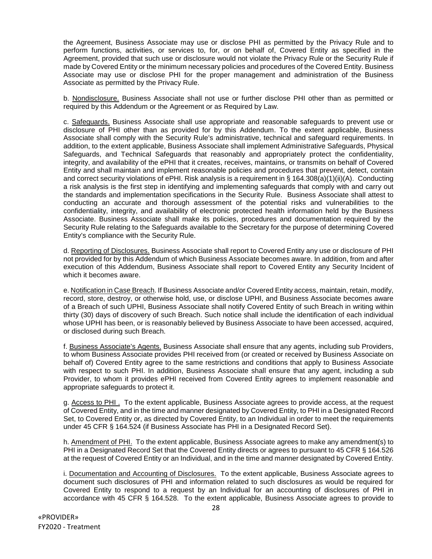the Agreement, Business Associate may use or disclose PHI as permitted by the Privacy Rule and to perform functions, activities, or services to, for, or on behalf of, Covered Entity as specified in the Agreement, provided that such use or disclosure would not violate the Privacy Rule or the Security Rule if made by Covered Entity or the minimum necessary policies and procedures of the Covered Entity. Business Associate may use or disclose PHI for the proper management and administration of the Business Associate as permitted by the Privacy Rule.

b. Nondisclosure. Business Associate shall not use or further disclose PHI other than as permitted or required by this Addendum or the Agreement or as Required by Law.

c. Safeguards. Business Associate shall use appropriate and reasonable safeguards to prevent use or disclosure of PHI other than as provided for by this Addendum. To the extent applicable, Business Associate shall comply with the Security Rule's administrative, technical and safeguard requirements. In addition, to the extent applicable, Business Associate shall implement Administrative Safeguards, Physical Safeguards, and Technical Safeguards that reasonably and appropriately protect the confidentiality, integrity, and availability of the ePHI that it creates, receives, maintains, or transmits on behalf of Covered Entity and shall maintain and implement reasonable policies and procedures that prevent, detect, contain and correct security violations of ePHI. Risk analysis is a requirement in § 164.308(a)(1)(ii)(A). Conducting a risk analysis is the first step in identifying and implementing safeguards that comply with and carry out the standards and implementation specifications in the Security Rule. Business Associate shall attest to conducting an accurate and thorough assessment of the potential risks and vulnerabilities to the confidentiality, integrity, and availability of electronic protected health information held by the Business Associate. Business Associate shall make its policies, procedures and documentation required by the Security Rule relating to the Safeguards available to the Secretary for the purpose of determining Covered Entity's compliance with the Security Rule.

d. Reporting of Disclosures. Business Associate shall report to Covered Entity any use or disclosure of PHI not provided for by this Addendum of which Business Associate becomes aware. In addition, from and after execution of this Addendum, Business Associate shall report to Covered Entity any Security Incident of which it becomes aware.

e. Notification in Case Breach. If Business Associate and/or Covered Entity access, maintain, retain, modify, record, store, destroy, or otherwise hold, use, or disclose UPHI, and Business Associate becomes aware of a Breach of such UPHI, Business Associate shall notify Covered Entity of such Breach in writing within thirty (30) days of discovery of such Breach. Such notice shall include the identification of each individual whose UPHI has been, or is reasonably believed by Business Associate to have been accessed, acquired, or disclosed during such Breach.

f. Business Associate's Agents. Business Associate shall ensure that any agents, including sub Providers, to whom Business Associate provides PHI received from (or created or received by Business Associate on behalf of) Covered Entity agree to the same restrictions and conditions that apply to Business Associate with respect to such PHI. In addition, Business Associate shall ensure that any agent, including a sub Provider, to whom it provides ePHI received from Covered Entity agrees to implement reasonable and appropriate safeguards to protect it.

g. Access to PHI . To the extent applicable, Business Associate agrees to provide access, at the request of Covered Entity, and in the time and manner designated by Covered Entity, to PHI in a Designated Record Set, to Covered Entity or, as directed by Covered Entity, to an Individual in order to meet the requirements under 45 CFR § 164.524 (if Business Associate has PHI in a Designated Record Set).

h. Amendment of PHI. To the extent applicable, Business Associate agrees to make any amendment(s) to PHI in a Designated Record Set that the Covered Entity directs or agrees to pursuant to 45 CFR § 164.526 at the request of Covered Entity or an Individual, and in the time and manner designated by Covered Entity.

i. Documentation and Accounting of Disclosures. To the extent applicable, Business Associate agrees to document such disclosures of PHI and information related to such disclosures as would be required for Covered Entity to respond to a request by an Individual for an accounting of disclosures of PHI in accordance with 45 CFR § 164.528. To the extent applicable, Business Associate agrees to provide to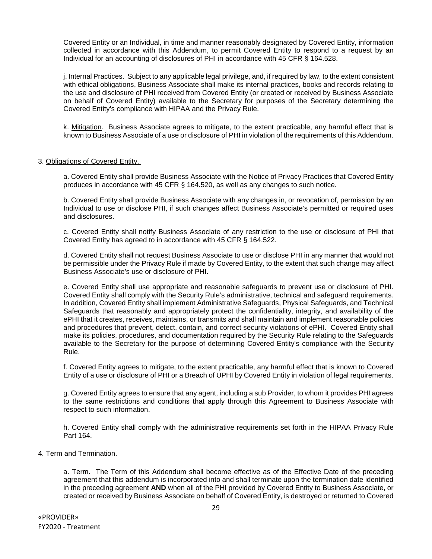Covered Entity or an Individual, in time and manner reasonably designated by Covered Entity, information collected in accordance with this Addendum, to permit Covered Entity to respond to a request by an Individual for an accounting of disclosures of PHI in accordance with 45 CFR § 164.528.

j. Internal Practices. Subject to any applicable legal privilege, and, if required by law, to the extent consistent with ethical obligations, Business Associate shall make its internal practices, books and records relating to the use and disclosure of PHI received from Covered Entity (or created or received by Business Associate on behalf of Covered Entity) available to the Secretary for purposes of the Secretary determining the Covered Entity's compliance with HIPAA and the Privacy Rule.

k. Mitigation. Business Associate agrees to mitigate, to the extent practicable, any harmful effect that is known to Business Associate of a use or disclosure of PHI in violation of the requirements of this Addendum.

#### 3. Obligations of Covered Entity.

a. Covered Entity shall provide Business Associate with the Notice of Privacy Practices that Covered Entity produces in accordance with 45 CFR § 164.520, as well as any changes to such notice.

b. Covered Entity shall provide Business Associate with any changes in, or revocation of, permission by an Individual to use or disclose PHI, if such changes affect Business Associate's permitted or required uses and disclosures.

c. Covered Entity shall notify Business Associate of any restriction to the use or disclosure of PHI that Covered Entity has agreed to in accordance with 45 CFR § 164.522.

d. Covered Entity shall not request Business Associate to use or disclose PHI in any manner that would not be permissible under the Privacy Rule if made by Covered Entity, to the extent that such change may affect Business Associate's use or disclosure of PHI.

e. Covered Entity shall use appropriate and reasonable safeguards to prevent use or disclosure of PHI. Covered Entity shall comply with the Security Rule's administrative, technical and safeguard requirements. In addition, Covered Entity shall implement Administrative Safeguards, Physical Safeguards, and Technical Safeguards that reasonably and appropriately protect the confidentiality, integrity, and availability of the ePHI that it creates, receives, maintains, or transmits and shall maintain and implement reasonable policies and procedures that prevent, detect, contain, and correct security violations of ePHI. Covered Entity shall make its policies, procedures, and documentation required by the Security Rule relating to the Safeguards available to the Secretary for the purpose of determining Covered Entity's compliance with the Security Rule.

f. Covered Entity agrees to mitigate, to the extent practicable, any harmful effect that is known to Covered Entity of a use or disclosure of PHI or a Breach of UPHI by Covered Entity in violation of legal requirements.

g. Covered Entity agrees to ensure that any agent, including a sub Provider, to whom it provides PHI agrees to the same restrictions and conditions that apply through this Agreement to Business Associate with respect to such information.

h. Covered Entity shall comply with the administrative requirements set forth in the HIPAA Privacy Rule Part 164.

4. Term and Termination.

a. Term. The Term of this Addendum shall become effective as of the Effective Date of the preceding agreement that this addendum is incorporated into and shall terminate upon the termination date identified in the preceding agreement **AND** when all of the PHI provided by Covered Entity to Business Associate, or created or received by Business Associate on behalf of Covered Entity, is destroyed or returned to Covered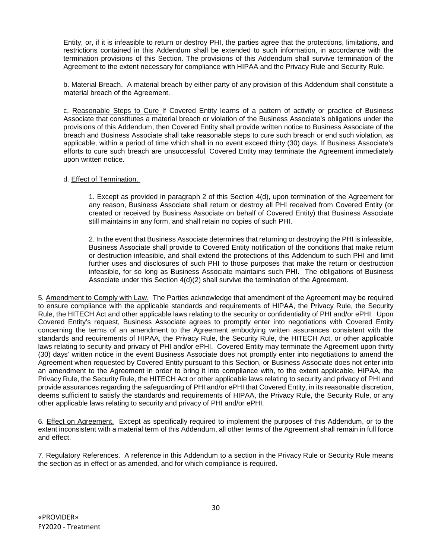Entity, or, if it is infeasible to return or destroy PHI, the parties agree that the protections, limitations, and restrictions contained in this Addendum shall be extended to such information, in accordance with the termination provisions of this Section. The provisions of this Addendum shall survive termination of the Agreement to the extent necessary for compliance with HIPAA and the Privacy Rule and Security Rule.

b. Material Breach. A material breach by either party of any provision of this Addendum shall constitute a material breach of the Agreement.

c. Reasonable Steps to Cure If Covered Entity learns of a pattern of activity or practice of Business Associate that constitutes a material breach or violation of the Business Associate's obligations under the provisions of this Addendum, then Covered Entity shall provide written notice to Business Associate of the breach and Business Associate shall take reasonable steps to cure such breach or end such violation, as applicable, within a period of time which shall in no event exceed thirty (30) days. If Business Associate's efforts to cure such breach are unsuccessful, Covered Entity may terminate the Agreement immediately upon written notice.

#### d. Effect of Termination.

1. Except as provided in paragraph 2 of this Section 4(d), upon termination of the Agreement for any reason, Business Associate shall return or destroy all PHI received from Covered Entity (or created or received by Business Associate on behalf of Covered Entity) that Business Associate still maintains in any form, and shall retain no copies of such PHI.

2. In the event that Business Associate determines that returning or destroying the PHI is infeasible, Business Associate shall provide to Covered Entity notification of the conditions that make return or destruction infeasible, and shall extend the protections of this Addendum to such PHI and limit further uses and disclosures of such PHI to those purposes that make the return or destruction infeasible, for so long as Business Associate maintains such PHI. The obligations of Business Associate under this Section 4(d)(2) shall survive the termination of the Agreement.

5. Amendment to Comply with Law. The Parties acknowledge that amendment of the Agreement may be required to ensure compliance with the applicable standards and requirements of HIPAA, the Privacy Rule, the Security Rule, the HITECH Act and other applicable laws relating to the security or confidentiality of PHI and/or ePHI. Upon Covered Entity's request, Business Associate agrees to promptly enter into negotiations with Covered Entity concerning the terms of an amendment to the Agreement embodying written assurances consistent with the standards and requirements of HIPAA, the Privacy Rule, the Security Rule, the HITECH Act, or other applicable laws relating to security and privacy of PHI and/or ePHI. Covered Entity may terminate the Agreement upon thirty (30) days' written notice in the event Business Associate does not promptly enter into negotiations to amend the Agreement when requested by Covered Entity pursuant to this Section, or Business Associate does not enter into an amendment to the Agreement in order to bring it into compliance with, to the extent applicable, HIPAA, the Privacy Rule, the Security Rule, the HITECH Act or other applicable laws relating to security and privacy of PHI and provide assurances regarding the safeguarding of PHI and/or ePHI that Covered Entity, in its reasonable discretion, deems sufficient to satisfy the standards and requirements of HIPAA, the Privacy Rule, the Security Rule, or any other applicable laws relating to security and privacy of PHI and/or ePHI.

6. Effect on Agreement. Except as specifically required to implement the purposes of this Addendum, or to the extent inconsistent with a material term of this Addendum, all other terms of the Agreement shall remain in full force and effect.

7. Regulatory References. A reference in this Addendum to a section in the Privacy Rule or Security Rule means the section as in effect or as amended, and for which compliance is required.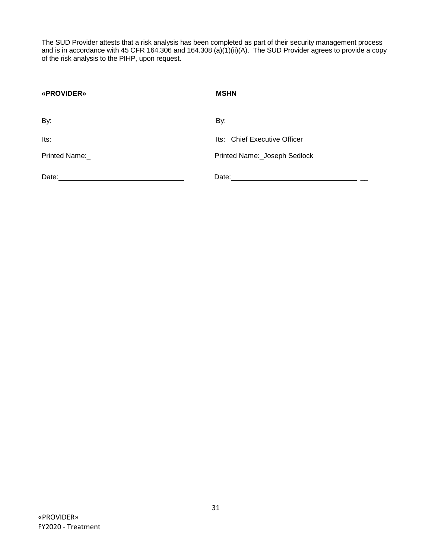The SUD Provider attests that a risk analysis has been completed as part of their security management process and is in accordance with 45 CFR 164.306 and 164.308 (a)(1)(ii)(A). The SUD Provider agrees to provide a copy of the risk analysis to the PIHP, upon request.

| «PROVIDER» | <b>MSHN</b>                  |
|------------|------------------------------|
|            |                              |
| lts:       | Its: Chief Executive Officer |
|            | Printed Name: Joseph Sedlock |
|            |                              |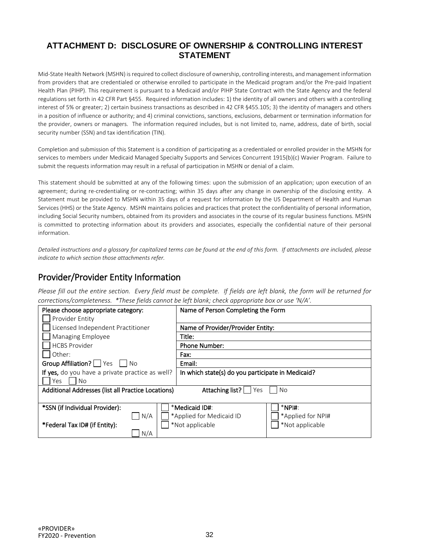### **ATTACHMENT D: DISCLOSURE OF OWNERSHIP & CONTROLLING INTEREST STATEMENT**

Mid-State Health Network (MSHN) is required to collect disclosure of ownership, controlling interests, and management information from providers that are credentialed or otherwise enrolled to participate in the Medicaid program and/or the Pre-paid Inpatient Health Plan (PIHP). This requirement is pursuant to a Medicaid and/or PIHP State Contract with the State Agency and the federal regulations set forth in 42 CFR Part §455. Required information includes: 1) the identity of all owners and others with a controlling interest of 5% or greater; 2) certain business transactions as described in 42 CFR §455.105; 3) the identity of managers and others in a position of influence or authority; and 4) criminal convictions, sanctions, exclusions, debarment or termination information for the provider, owners or managers. The information required includes, but is not limited to, name, address, date of birth, social security number (SSN) and tax identification (TIN).

Completion and submission of this Statement is a condition of participating as a credentialed or enrolled provider in the MSHN for services to members under Medicaid Managed Specialty Supports and Services Concurrent 1915(b)(c) Wavier Program. Failure to submit the requests information may result in a refusal of participation in MSHN or denial of a claim.

This statement should be submitted at any of the following times: upon the submission of an application; upon execution of an agreement; during re-credentialing or re-contracting; within 35 days after any change in ownership of the disclosing entity. A Statement must be provided to MSHN within 35 days of a request for information by the US Department of Health and Human Services (HHS) or the State Agency. MSHN maintains policies and practices that protect the confidentiality of personal information, including Social Security numbers, obtained from its providers and associates in the course of its regular business functions. MSHN is committed to protecting information about its providers and associates, especially the confidential nature of their personal information.

*Detailed instructions and a glossary for capitalized terms can be found at the end of this form. If attachments are included, please indicate to which section those attachments refer.*

### Provider/Provider Entity Information

*Please fill out the entire section. Every field must be complete. If fields are left blank, the form will be returned for corrections/completeness. \*These fields cannot be left blank; check appropriate box or use 'N/A'.*

| Please choose appropriate category:                | Name of Person Completing the Form                |
|----------------------------------------------------|---------------------------------------------------|
| Provider Entity                                    |                                                   |
| Licensed Independent Practitioner                  | Name of Provider/Provider Entity:                 |
| Managing Employee                                  | Title:                                            |
| <b>HCBS Provider</b>                               | <b>Phone Number:</b>                              |
| Other:                                             | Fax:                                              |
| Group Affiliation?     Yes     No                  | Email:                                            |
| If yes, do you have a private practice as well?    | In which state(s) do you participate in Medicaid? |
| Yes<br>No.                                         |                                                   |
| Additional Addresses (list all Practice Locations) | Attaching list? Yes<br>l No                       |
|                                                    |                                                   |
| *SSN (if Individual Provider):                     | *Medicaid ID#:<br>$*$ NPI#:                       |
| N/A                                                | *Applied for Medicaid ID<br>*Applied for NPI#     |
| *Federal Tax ID# (if Entity):                      | *Not applicable<br>*Not applicable                |
| N/A                                                |                                                   |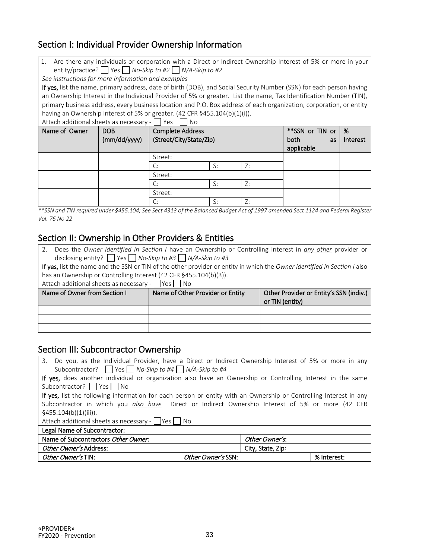### Section I: Individual Provider Ownership Information

1. Are there any individuals or corporation with a Direct or Indirect Ownership Interest of 5% or more in your entity/practice?  $\Box$  Yes  $\Box$  No-Skip to #2  $\Box$  N/A-Skip to #2

*See instructions for more information and examples*

If yes, list the name, primary address, date of birth (DOB), and Social Security Number (SSN) for each person having an Ownership Interest in the Individual Provider of 5% or greater. List the name, Tax Identification Number (TIN), primary business address, every business location and P.O. Box address of each organization, corporation, or entity having an Ownership Interest of 5% or greater. (42 CFR §455.104(b)(1)(i)).

Attach additional sheets as necessary -  $\Box$  Yes  $\Box$  No

| Name of Owner | <b>DOB</b><br>(mm/dd/yyyy) | <b>Complete Address</b><br>(Street/City/State/Zip) |    |    | **SSN or TIN or<br>both<br>as<br>applicable | %<br>Interest |
|---------------|----------------------------|----------------------------------------------------|----|----|---------------------------------------------|---------------|
|               |                            | Street:                                            |    |    |                                             |               |
|               |                            | C:                                                 | S: | Z: |                                             |               |
|               |                            | Street:                                            |    |    |                                             |               |
|               |                            | C:                                                 | S: | Z: |                                             |               |
|               |                            | Street:                                            |    |    |                                             |               |
|               |                            | C:                                                 | S: | Z: |                                             |               |

*\*\*SSN and TIN required under §455.104; See Sect 4313 of the Balanced Budget Act of 1997 amended Sect 1124 and Federal Register Vol. 76 No 22*

### Section II: Ownership in Other Providers & Entities

| Does the Owner identified in Section I have an Ownership or Controlling Interest in any other provider or<br>disclosing entity? $\Box$ Yes $\Box$ No-Skip to #3 $\Box$ N/A-Skip to #3 |                                                                                                                          |  |  |  |
|---------------------------------------------------------------------------------------------------------------------------------------------------------------------------------------|--------------------------------------------------------------------------------------------------------------------------|--|--|--|
|                                                                                                                                                                                       | If yes, list the name and the SSN or TIN of the other provider or entity in which the Owner identified in Section I also |  |  |  |
|                                                                                                                                                                                       | has an Ownership or Controlling Interest (42 CFR §455.104(b)(3)).                                                        |  |  |  |
| Attach additional sheets as necessary - $\Box$ Yes $\Box$ No                                                                                                                          |                                                                                                                          |  |  |  |
| Name of Owner from Section I                                                                                                                                                          | Name of Other Provider or Entity<br>Other Provider or Entity's SSN (indiv.)<br>or TIN (entity)                           |  |  |  |
|                                                                                                                                                                                       |                                                                                                                          |  |  |  |
|                                                                                                                                                                                       |                                                                                                                          |  |  |  |
|                                                                                                                                                                                       |                                                                                                                          |  |  |  |

### Section III: Subcontractor Ownership

| 3. Do you, as the Individual Provider, have a Direct or Indirect Ownership Interest of 5% or more in any          |                    |  |             |
|-------------------------------------------------------------------------------------------------------------------|--------------------|--|-------------|
| Subcontractor? $\Box$ Yes $\Box$ No-Skip to #4 $\Box$ N/A-Skip to #4                                              |                    |  |             |
| If yes, does another individual or organization also have an Ownership or Controlling Interest in the same        |                    |  |             |
| Subcontractor? $\Box$ Yes $\Box$ No                                                                               |                    |  |             |
| If yes, list the following information for each person or entity with an Ownership or Controlling Interest in any |                    |  |             |
| Subcontractor in which you also have Direct or Indirect Ownership Interest of 5% or more (42 CFR                  |                    |  |             |
| §455.104(b)(1)(iii)).                                                                                             |                    |  |             |
| Attach additional sheets as necessary - PYes No                                                                   |                    |  |             |
| Legal Name of Subcontractor:                                                                                      |                    |  |             |
| Name of Subcontractors Other Owner.<br>Other Owner's.                                                             |                    |  |             |
| Other Owner's Address:<br>City, State, Zip:                                                                       |                    |  |             |
| Other Owner's TIN:                                                                                                | Other Owner's SSN: |  | % Interest: |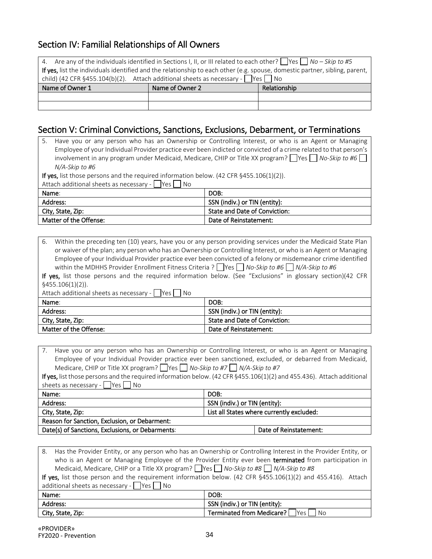## Section IV: Familial Relationships of All Owners

| 4. Are any of the individuals identified in Sections I, II, or III related to each other? $\log$ $\log$ $\log$ $\log$ $\log$ to #5 |                                                                                                                             |  |  |  |  |
|------------------------------------------------------------------------------------------------------------------------------------|-----------------------------------------------------------------------------------------------------------------------------|--|--|--|--|
|                                                                                                                                    | If yes, list the individuals identified and the relationship to each other (e.g. spouse, domestic partner, sibling, parent, |  |  |  |  |
| child) (42 CFR §455.104(b)(2). Attach additional sheets as necessary - $\Box$ Yes $\Box$ No                                        |                                                                                                                             |  |  |  |  |
| Name of Owner 1<br>Name of Owner 2<br>Relationship                                                                                 |                                                                                                                             |  |  |  |  |
|                                                                                                                                    |                                                                                                                             |  |  |  |  |
|                                                                                                                                    |                                                                                                                             |  |  |  |  |

### Section V: Criminal Convictions, Sanctions, Exclusions, Debarment, or Terminations

5. Have you or any person who has an Ownership or Controlling Interest, or who is an Agent or Managing Employee of your Individual Provider practice ever been indicted or convicted of a crime related to that person's involvement in any program under Medicaid, Medicare, CHIP or Title XX program?  $\Box$  Yes  $\Box$  No-Skip to #6  $\Box$ *N/A-Skip to #6*

If yes, list those persons and the required information below. (42 CFR §455.106(1)(2)).

Attach additional sheets as necessary -  $\Box$  Yes  $\Box$  No

| Name:                  | DOB:                          |
|------------------------|-------------------------------|
| Address:               | SSN (indiv.) or TIN (entity): |
| City, State, Zip:      | State and Date of Conviction: |
| Matter of the Offense: | Date of Reinstatement:        |

| 6.                                                                                                             | Within the preceding ten (10) years, have you or any person providing services under the Medicaid State Plan  |  |
|----------------------------------------------------------------------------------------------------------------|---------------------------------------------------------------------------------------------------------------|--|
| or waiver of the plan; any person who has an Ownership or Controlling Interest, or who is an Agent or Managing |                                                                                                               |  |
|                                                                                                                | Employee of your Individual Provider practice ever been convicted of a felony or misdemeanor crime identified |  |
| within the MDHHS Provider Enrollment Fitness Criteria ? Yes No-Skip to #6 N/A-Skip to #6                       |                                                                                                               |  |
|                                                                                                                | If yes, list those persons and the required information below. (See "Exclusions" in glossary section)(42 CFR  |  |
| $§455.106(1)(2)$ .                                                                                             |                                                                                                               |  |
| Attach additional sheets as necessary - $\sqrt{\frac{1}{1}}$ Yes $\sqrt{\frac{1}{1}}$ No                       |                                                                                                               |  |
| Name:                                                                                                          | DOB:                                                                                                          |  |
| Address:                                                                                                       | SSN (indiv.) or TIN (entity):                                                                                 |  |
| City, State, Zip:                                                                                              | State and Date of Conviction:                                                                                 |  |
| Matter of the Offense:                                                                                         | Date of Reinstatement:                                                                                        |  |
|                                                                                                                |                                                                                                               |  |

7. Have you or any person who has an Ownership or Controlling Interest, or who is an Agent or Managing Employee of your Individual Provider practice ever been sanctioned, excluded, or debarred from Medicaid, Medicare, CHIP or Title XX program? Yes *No-Skip to #7* N/A-Skip to #7

If yes, list those persons and the required information below. (42 CFR §455.106(1)(2) and 455.436). Attach additional sheets as necessary -  $\Box$  Yes  $\Box$  No

| SSN (indiv.) or TIN (entity):             |  |
|-------------------------------------------|--|
| List all States where currently excluded: |  |
|                                           |  |
| Date of Reinstatement:                    |  |
|                                           |  |

8. Has the Provider Entity, or any person who has an Ownership or Controlling Interest in the Provider Entity, or who is an Agent or Managing Employee of the Provider Entity ever been **terminated** from participation in Medicaid, Medicare, CHIP or a Title XX program? Yes *No-Skip to #8* N/A-Skip to #8

| Name:             | DOB:                                                   |
|-------------------|--------------------------------------------------------|
| Address:          | SSN (indiv.) or TIN (entity):                          |
| City, State, Zip: | Terminated from Medicare?  <br>IYes <sub>1</sub><br>No |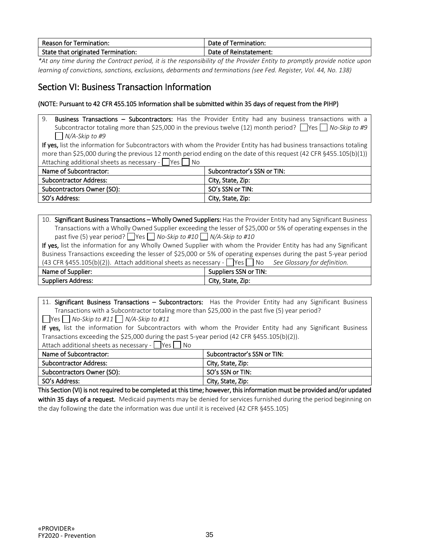| <b>Reason for Termination:</b>     | Date of Termination:   |
|------------------------------------|------------------------|
| State that originated Termination: | Date of Reinstatement: |

*\*At any time during the Contract period, it is the responsibility of the Provider Entity to promptly provide notice upon learning of convictions, sanctions, exclusions, debarments and terminations (see Fed. Register, Vol. 44, No. 138)*

## Section VI: Business Transaction Information

#### (NOTE: Pursuant to 42 CFR 455.105 Information shall be submitted within 35 days of request from the PIHP)

9. Business Transactions - Subcontractors: Has the Provider Entity had any business transactions with a Subcontractor totaling more than \$25,000 in the previous twelve (12) month period?  $\Box$  Yes  $\Box$  No-Skip to #9 *N/A-Skip to #9*

If yes, list the information for Subcontractors with whom the Provider Entity has had business transactions totaling more than \$25,000 during the previous 12 month period ending on the date of this request (42 CFR §455.105(b)(1)) Attaching additional sheets as necessary -  $\Box$  Yes  $\Box$  No

| Name of Subcontractor:        | Subcontractor's SSN or TIN: |
|-------------------------------|-----------------------------|
| <b>Subcontractor Address:</b> | City, State, Zip:           |
| Subcontractors Owner (SO):    | SO's SSN or TIN:            |
| SO's Address:                 | City, State, Zip:           |

| 10. Significant Business Transactions - Wholly Owned Suppliers: Has the Provider Entity had any Significant Business |
|----------------------------------------------------------------------------------------------------------------------|
| Transactions with a Wholly Owned Supplier exceeding the lesser of \$25,000 or 5% of operating expenses in the        |
| past five (5) year period? $\Box$ Yes $\Box$ No-Skip to #10 $\Box$ N/A-Skip to #10                                   |

If yes, list the information for any Wholly Owned Supplier with whom the Provider Entity has had any Significant Business Transactions exceeding the lesser of \$25,000 or 5% of operating expenses during the past 5-year period (43 CFR §455.105(b)(2)). Attach additional sheets as necessary - Yes No *See Glossary for definition.*

| Name of<br>* Supplier: | Suppliers SSN or TIN: |
|------------------------|-----------------------|
| <b>Suppliers</b>       | . State, Zip:         |
| Address:               | Citv                  |

|                                                                                                 | 11. Significant Business Transactions - Subcontractors: Has the Provider Entity had any Significant Business |  |  |  |  |
|-------------------------------------------------------------------------------------------------|--------------------------------------------------------------------------------------------------------------|--|--|--|--|
| Transactions with a Subcontractor totaling more than \$25,000 in the past five (5) year period? |                                                                                                              |  |  |  |  |
| $\Box$ Yes $\Box$ No-Skip to #11 $\Box$ N/A-Skip to #11                                         |                                                                                                              |  |  |  |  |
|                                                                                                 | If yes, list the information for Subcontractors with whom the Provider Entity had any Significant Business   |  |  |  |  |
| Transactions exceeding the \$25,000 during the past 5-year period (42 CFR §455.105(b)(2)).      |                                                                                                              |  |  |  |  |
| Attach additional sheets as necessary - $\Box$ Yes $\Box$ No                                    |                                                                                                              |  |  |  |  |
| Name of Subcontractor:<br>Subcontractor's SSN or TIN:                                           |                                                                                                              |  |  |  |  |
| <b>Subcontractor Address:</b><br>City, State, Zip:                                              |                                                                                                              |  |  |  |  |
| Subcontractors Owner (SO):                                                                      | SO's SSN or TIN:                                                                                             |  |  |  |  |
| SO's Address:                                                                                   | City, State, Zip:                                                                                            |  |  |  |  |

This Section (VI) is not required to be completed at this time; however, this information must be provided and/or updated within 35 days of a request. Medicaid payments may be denied for services furnished during the period beginning on the day following the date the information was due until it is received (42 CFR §455.105)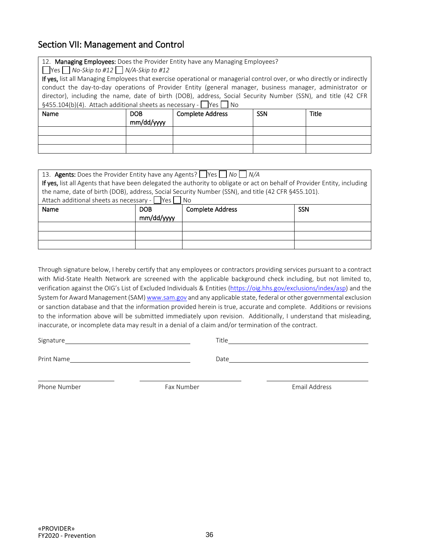### Section VII: Management and Control

|  |  |  |  | 12. Managing Employees: Does the Provider Entity have any Managing Employees? |
|--|--|--|--|-------------------------------------------------------------------------------|
|--|--|--|--|-------------------------------------------------------------------------------|

Yes *No-Skip to #12 N/A-Skip to #12*

If yes, list all Managing Employees that exercise operational or managerial control over, or who directly or indirectly conduct the day-to-day operations of Provider Entity (general manager, business manager, administrator or director), including the name, date of birth (DOB), address, Social Security Number (SSN), and title (42 CFR §455.104(b)(4). Attach additional sheets as necessary -  $\bigcap$  Yes  $\bigcap$  No

| Name | <b>DOB</b><br>mm/dd/yyyy | <b>Complete Address</b> | SSN | <b>Title</b> |
|------|--------------------------|-------------------------|-----|--------------|
|      |                          |                         |     |              |
|      |                          |                         |     |              |
|      |                          |                         |     |              |

| 13. Agents: Does the Provider Entity have any Agents?     Yes     No     N/A |            |                                                                                                                           |  |  |  |  |
|------------------------------------------------------------------------------|------------|---------------------------------------------------------------------------------------------------------------------------|--|--|--|--|
|                                                                              |            | If yes, list all Agents that have been delegated the authority to obligate or act on behalf of Provider Entity, including |  |  |  |  |
|                                                                              |            | the name, date of birth (DOB), address, Social Security Number (SSN), and title (42 CFR §455.101).                        |  |  |  |  |
| Attach additional sheets as necessary - $\Box$ Yes $\Box$                    |            | <b>No</b>                                                                                                                 |  |  |  |  |
| Name                                                                         | <b>DOB</b> | <b>Complete Address</b><br><b>SSN</b>                                                                                     |  |  |  |  |
|                                                                              | mm/dd/vvvv |                                                                                                                           |  |  |  |  |
|                                                                              |            |                                                                                                                           |  |  |  |  |
|                                                                              |            |                                                                                                                           |  |  |  |  |
|                                                                              |            |                                                                                                                           |  |  |  |  |

Through signature below, I hereby certify that any employees or contractors providing services pursuant to a contract with Mid-State Health Network are screened with the applicable background check including, but not limited to, verification against the OIG's List of Excluded Individuals & Entities [\(https://oig.hhs.gov/exclusions/index/asp\)](https://oig.hhs.gov/exclusions/index/asp) and the System for Award Management (SAM[\) www.sam.gov](http://www.sam.gov/) and any applicable state, federal or other governmental exclusion or sanction database and that the information provided herein is true, accurate and complete. Additions or revisions to the information above will be submitted immediately upon revision. Additionally, I understand that misleading, inaccurate, or incomplete data may result in a denial of a claim and/or termination of the contract.

Signature **Title** 

Print Name **Date Date Date Date Date Date Date Date Date Date Date Date Date Date Date Date Date Date Date Date Date Date Date Date Date Date Date Date Date Date**

Phone Number The Communication of the Fax Number The Communication of the Email Address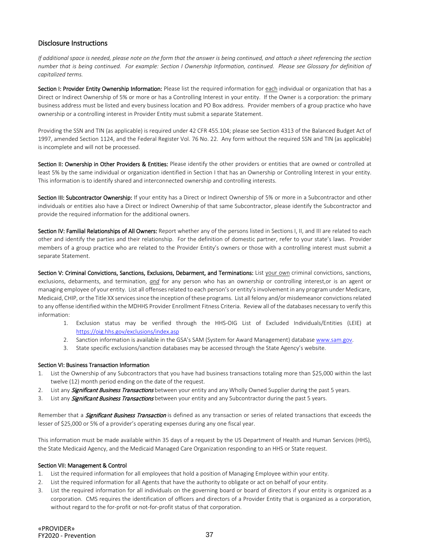#### Disclosure Instructions

*If additional space is needed, please note on the form that the answer is being continued, and attach a sheet referencing the section number that is being continued. For example: Section I Ownership Information, continued. Please see Glossary for definition of capitalized terms.*

Section I: Provider Entity Ownership Information: Please list the required information for each individual or organization that has a Direct or Indirect Ownership of 5% or more or has a Controlling Interest in your entity. If the Owner is a corporation: the primary business address must be listed and every business location and PO Box address. Provider members of a group practice who have ownership or a controlling interest in Provider Entity must submit a separate Statement.

Providing the SSN and TIN (as applicable) is required under 42 CFR 455.104; please see Section 4313 of the Balanced Budget Act of 1997, amended Section 1124, and the Federal Register Vol. 76 No. 22. Any form without the required SSN and TIN (as applicable) is incomplete and will not be processed.

Section II: Ownership in Other Providers & Entities: Please identify the other providers or entities that are owned or controlled at least 5% by the same individual or organization identified in Section I that has an Ownership or Controlling Interest in your entity. This information is to identify shared and interconnected ownership and controlling interests.

Section III: Subcontractor Ownership: If your entity has a Direct or Indirect Ownership of 5% or more in a Subcontractor and other individuals or entities also have a Direct or Indirect Ownership of that same Subcontractor, please identify the Subcontractor and provide the required information for the additional owners.

Section IV: Familial Relationships of All Owners: Report whether any of the persons listed in Sections I, II, and III are related to each other and identify the parties and their relationship. For the definition of domestic partner, refer to your state's laws. Provider members of a group practice who are related to the Provider Entity's owners or those with a controlling interest must submit a separate Statement.

Section V: Criminal Convictions, Sanctions, Exclusions, Debarment, and Terminations: List your own criminal convictions, sanctions, exclusions, debarments, and termination, *and* for any person who has an ownership or controlling interest,or is an agent or managing employee of your entity. List all offenses related to each person's or entity's involvement in any program under Medicare, Medicaid, CHIP, or the Title XX services since the inception of these programs. List all felony and/or misdemeanor convictions related to any offense identified within the MDHHS Provider Enrollment Fitness Criteria. Review all of the databases necessary to verify this information:

- 1. Exclusion status may be verified through the HHS-OIG List of Excluded Individuals/Entities (LEIE) at <https://oig.hhs.gov/exclusions/index.asp>
- 2. Sanction information is available in the GSA's SAM (System for Award Management) databas[e www.sam.gov.](http://www.sam.gov/)
- 3. State specific exclusions/sanction databases may be accessed through the State Agency's website.

#### Section VI: Business Transaction Information

- 1. List the Ownership of any Subcontractors that you have had business transactions totaling more than \$25,000 within the last twelve (12) month period ending on the date of the request.
- 2. List any **Significant Business Transactions** between your entity and any Wholly Owned Supplier during the past 5 years.
- 3. List any **Significant Business Transactions** between your entity and any Subcontractor during the past 5 years.

Remember that a *Significant Business Transaction* is defined as any transaction or series of related transactions that exceeds the lesser of \$25,000 or 5% of a provider's operating expenses during any one fiscal year.

This information must be made available within 35 days of a request by the US Department of Health and Human Services (HHS), the State Medicaid Agency, and the Medicaid Managed Care Organization responding to an HHS or State request.

#### Section VII: Management & Control

- 1. List the required information for all employees that hold a position of Managing Employee within your entity.
- 2. List the required information for all Agents that have the authority to obligate or act on behalf of your entity.
- 3. List the required information for all individuals on the governing board or board of directors if your entity is organized as a corporation. CMS requires the identification of officers and directors of a Provider Entity that is organized as a corporation, without regard to the for-profit or not-for-profit status of that corporation.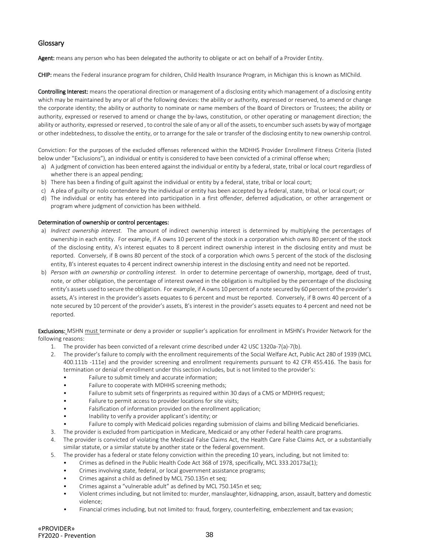#### Glossary

Agent: means any person who has been delegated the authority to obligate or act on behalf of a Provider Entity.

CHIP: means the Federal insurance program for children, Child Health Insurance Program, in Michigan this is known as MIChild.

Controlling Interest: means the operational direction or management of a disclosing entity which management of a disclosing entity which may be maintained by any or all of the following devices: the ability or authority, expressed or reserved, to amend or change the corporate identity; the ability or authority to nominate or name members of the Board of Directors or Trustees; the ability or authority, expressed or reserved to amend or change the by-laws, constitution, or other operating or management direction; the ability or authority, expressed or reserved , to control the sale of any or all of the assets, to encumber such assets by way of mortgage or other indebtedness, to dissolve the entity, or to arrange for the sale or transfer of the disclosing entity to new ownership control.

Conviction: For the purposes of the excluded offenses referenced within the MDHHS Provider Enrollment Fitness Criteria (listed below under "Exclusions"), an individual or entity is considered to have been convicted of a criminal offense when;

- a) A judgment of conviction has been entered against the individual or entity by a federal, state, tribal or local court regardless of whether there is an appeal pending;
- b) There has been a finding of guilt against the individual or entity by a federal, state, tribal or local court;
- c) A plea of guilty or nolo contendere by the individual or entity has been accepted by a federal, state, tribal, or local court; or
- d) The individual or entity has entered into participation in a first offender, deferred adjudication, or other arrangement or program where judgment of conviction has been withheld.

#### Determination of ownership or control percentages:

- a) *Indirect ownership interest.* The amount of indirect ownership interest is determined by multiplying the percentages of ownership in each entity. For example, if A owns 10 percent of the stock in a corporation which owns 80 percent of the stock of the disclosing entity, A's interest equates to 8 percent indirect ownership interest in the disclosing entity and must be reported. Conversely, if B owns 80 percent of the stock of a corporation which owns 5 percent of the stock of the disclosing entity, B's interest equates to 4 percent indirect ownership interest in the disclosing entity and need not be reported.
- b) *Person with an ownership or controlling interest.* In order to determine percentage of ownership, mortgage, deed of trust, note, or other obligation, the percentage of interest owned in the obligation is multiplied by the percentage of the disclosing entity's assets used to secure the obligation. For example, if A owns 10 percent of a note secured by 60 percent of the provider's assets, A's interest in the provider's assets equates to 6 percent and must be reported. Conversely, if B owns 40 percent of a note secured by 10 percent of the provider's assets, B's interest in the provider's assets equates to 4 percent and need not be reported.

Exclusions: MSHN must terminate or deny a provider or supplier's application for enrollment in MSHN's Provider Network for the following reasons:

- 1. The provider has been convicted of a relevant crime described under 42 USC 1320a-7(a)-7(b).
- 2. The provider's failure to comply with the enrollment requirements of the Social Welfare Act, Public Act 280 of 1939 (MCL 400.111b -111e) and the provider screening and enrollment requirements pursuant to 42 CFR 455.416. The basis for termination or denial of enrollment under this section includes, but is not limited to the provider's:
	- Failure to submit timely and accurate information;
	- Failure to cooperate with MDHHS screening methods;
	- Failure to submit sets of fingerprints as required within 30 days of a CMS or MDHHS request;
	- Failure to permit access to provider locations for site visits;
	- Falsification of information provided on the enrollment application;
	- Inability to verify a provider applicant's identity; or
	- Failure to comply with Medicaid policies regarding submission of claims and billing Medicaid beneficiaries.
- 3. The provider is excluded from participation in Medicare, Medicaid or any other Federal health care programs.
- 4. The provider is convicted of violating the Medicaid False Claims Act, the Health Care False Claims Act, or a substantially similar statute, or a similar statute by another state or the federal government.
- 5. The provider has a federal or state felony conviction within the preceding 10 years, including, but not limited to:
	- Crimes as defined in the Public Health Code Act 368 of 1978, specifically, MCL 333.20173a(1);
	- Crimes involving state, federal, or local government assistance programs;
	- Crimes against a child as defined by MCL 750.135n et seq;
	- Crimes against a "vulnerable adult" as defined by MCL 750.145n et seq;
	- Violent crimes including, but not limited to: murder, manslaughter, kidnapping, arson, assault, battery and domestic violence;
	- Financial crimes including, but not limited to: fraud, forgery, counterfeiting, embezzlement and tax evasion;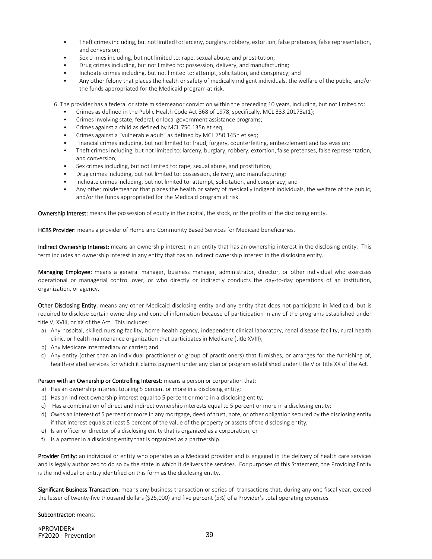- Theft crimes including, but not limited to: larceny, burglary, robbery, extortion, false pretenses, false representation, and conversion;
- Sex crimes including, but not limited to: rape, sexual abuse, and prostitution;
- Drug crimes including, but not limited to: possession, delivery, and manufacturing;
- Inchoate crimes including, but not limited to: attempt, solicitation, and conspiracy; and
- Any other felony that places the health or safety of medically indigent individuals, the welfare of the public, and/or the funds appropriated for the Medicaid program at risk.

6. The provider has a federal or state misdemeanor conviction within the preceding 10 years, including, but not limited to:

- Crimes as defined in the Public Health Code Act 368 of 1978, specifically, MCL 333.20173a(1);
- Crimes involving state, federal, or local government assistance programs;
- Crimes against a child as defined by MCL 750.135n et seq;
- Crimes against a "vulnerable adult" as defined by MCL 750.145n et seq;
- Financial crimes including, but not limited to: fraud, forgery, counterfeiting, embezzlement and tax evasion;
- Theft crimes including, but not limited to: larceny, burglary, robbery, extortion, false pretenses, false representation, and conversion;
- Sex crimes including, but not limited to: rape, sexual abuse, and prostitution;
- Drug crimes including, but not limited to: possession, delivery, and manufacturing;
- Inchoate crimes including, but not limited to: attempt, solicitation, and conspiracy; and
- Any other misdemeanor that places the health or safety of medically indigent individuals, the welfare of the public, and/or the funds appropriated for the Medicaid program at risk.

Ownership Interest: means the possession of equity in the capital, the stock, or the profits of the disclosing entity.

HCBS Provider: means a provider of Home and Community Based Services for Medicaid beneficiaries.

Indirect Ownership Interest: means an ownership interest in an entity that has an ownership interest in the disclosing entity. This term includes an ownership interest in any entity that has an indirect ownership interest in the disclosing entity.

Managing Employee: means a general manager, business manager, administrator, director, or other individual who exercises operational or managerial control over, or who directly or indirectly conducts the day-to-day operations of an institution, organization, or agency.

Other Disclosing Entity: means any other Medicaid disclosing entity and any entity that does not participate in Medicaid, but is required to disclose certain ownership and control information because of participation in any of the programs established under title V, XVIII, or XX of the Act. This includes:

- a) Any hospital, skilled nursing facility, home health agency, independent clinical laboratory, renal disease facility, rural health clinic, or health maintenance organization that participates in Medicare (title XVIII);
- b) Any Medicare intermediary or carrier; and
- c) Any entity (other than an individual practitioner or group of practitioners) that furnishes, or arranges for the furnishing of, health-related services for which it claims payment under any plan or program established under title V or title XX of the Act.

Person with an Ownership or Controlling Interest: means a person or corporation that;

- a) Has an ownership interest totaling 5 percent or more in a disclosing entity;
- b) Has an indirect ownership interest equal to 5 percent or more in a disclosing entity;
- c) Has a combination of direct and indirect ownership interests equal to 5 percent or more in a disclosing entity;
- d) Owns an interest of 5 percent or more in any mortgage, deed of trust, note, or other obligation secured by the disclosing entity if that interest equals at least 5 percent of the value of the property or assets of the disclosing entity;
- e) Is an officer or director of a disclosing entity that is organized as a corporation; or
- f) Is a partner in a disclosing entity that is organized as a partnership.

Provider Entity: an individual or entity who operates as a Medicaid provider and is engaged in the delivery of health care services and is legally authorized to do so by the state in which it delivers the services. For purposes of this Statement, the Providing Entity is the individual or entity identified on this form as the disclosing entity.

Significant Business Transaction: means any business transaction or series of transactions that, during any one fiscal year, exceed the lesser of twenty-five thousand dollars (\$25,000) and five percent (5%) of a Provider's total operating expenses.

Subcontractor: means;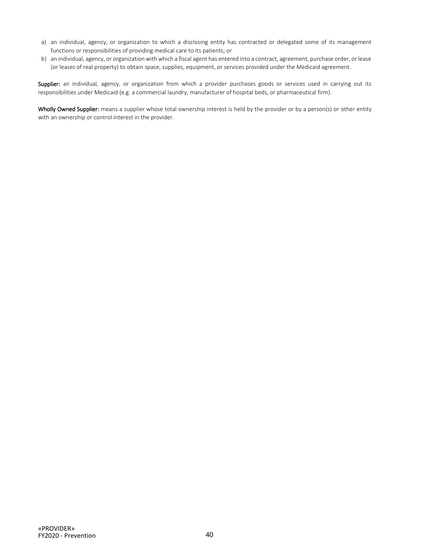- a) an individual, agency, or organization to which a disclosing entity has contracted or delegated some of its management functions or responsibilities of providing medical care to its patients; or
- b) an individual, agency, or organization with which a fiscal agent has entered into a contract, agreement, purchase order, or lease (or leases of real property) to obtain space, supplies, equipment, or services provided under the Medicaid agreement.

Supplier: an individual, agency, or organization from which a provider purchases goods or services used in carrying out its responsibilities under Medicaid (e.g. a commercial laundry, manufacturer of hospital beds, or pharmaceutical firm).

Wholly Owned Supplier: means a supplier whose total ownership interest is held by the provider or by a person(s) or other entity with an ownership or control interest in the provider.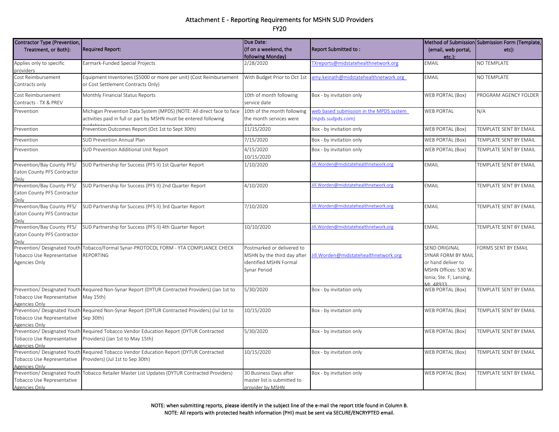#### Attachment E - Reporting Requirements for MSHN SUD Providers FY20

| Contractor Type (Prevention, |                                                                                                 | Due Date:                    |                                         |                         | Method of Submission Submission Form (Template, |
|------------------------------|-------------------------------------------------------------------------------------------------|------------------------------|-----------------------------------------|-------------------------|-------------------------------------------------|
| Treatment, or Both):         | <b>Required Report:</b>                                                                         | (If on a weekend, the        | Report Submitted to:                    | (email, web portal,     | etc):                                           |
|                              |                                                                                                 | following Monday)            |                                         | $etc.$ ):               |                                                 |
| Applies only to specific     | Earmark-Funded Special Projects                                                                 | 2/28/2020                    | TXreports@midstatehealthnetwork.org     | <b>EMAIL</b>            | NO TEMPLATE                                     |
| providers                    |                                                                                                 |                              |                                         |                         |                                                 |
| Cost Reimbursement           | Equipment Inventories (\$5000 or more per unit) (Cost Reimbursement                             | With Budget Prior to Oct 1st | amy.keinath@midstatehealthnetwork.org   | <b>EMAIL</b>            | NO TEMPLATE                                     |
| Contracts only               | or Cost Settlement Contracts Only)                                                              |                              |                                         |                         |                                                 |
|                              |                                                                                                 |                              |                                         |                         |                                                 |
| Cost Reimbursement           | Monthly Financial Status Reports                                                                | 10th of month following      | Box - by invitation only                | <b>WEB PORTAL (Box)</b> | PROGRAM AGENCY FOLDER                           |
| Contracts - TX & PREV        |                                                                                                 | service date                 |                                         |                         |                                                 |
| Prevention                   | Michigan Prevention Data System (MPDS) (NOTE: All direct face to face                           | 10th of the month following  | web based submission in the MPDS system | <b>WEB PORTAL</b>       | N/A                                             |
|                              | activities paid in full or part by MSHN must be entered following                               | the month services were      | (mpds.sudpds.com)                       |                         |                                                 |
| Prevention                   | Prevention Outcomes Report (Oct 1st to Sept 30th)                                               | 11/15/2020                   | Box - by invitation only                | <b>WEB PORTAL (Box)</b> | TEMPLATE SENT BY EMAIL                          |
| Prevention                   | SUD Prevention Annual Plan                                                                      | 7/15/2020                    | Box - by invitation only                | <b>WEB PORTAL (Box)</b> | <b>TEMPLATE SENT BY EMAIL</b>                   |
|                              |                                                                                                 |                              |                                         |                         |                                                 |
| Prevention                   | SUD Prevention Additional Unit Report                                                           | 4/15/2020<br>10/15/2020      | Box - by invitation only                | <b>WEB PORTAL (Box)</b> | <b>TEMPLATE SENT BY EMAIL</b>                   |
| Prevention/Bay County PFS/   | SUD Partnership for Success (PFS II) 1st Quarter Report                                         | 1/10/2020                    | ill. Worden@midstatehealthnetwork.org   | <b>EMAIL</b>            | TEMPLATE SENT BY EMAIL                          |
| Eaton County PFS Contractor  |                                                                                                 |                              |                                         |                         |                                                 |
| Only                         |                                                                                                 |                              |                                         |                         |                                                 |
| Prevention/Bay County PFS/   | SUD Partnership for Success (PFS II) 2nd Quarter Report                                         | 4/10/2020                    | ill. Worden@midstatehealthnetwork.org   | <b>EMAIL</b>            | TEMPLATE SENT BY EMAIL                          |
| Eaton County PFS Contractor  |                                                                                                 |                              |                                         |                         |                                                 |
| Only                         |                                                                                                 |                              |                                         |                         |                                                 |
| Prevention/Bay County PFS/   | SUD Partnership for Success (PFS II) 3rd Quarter Report                                         | 7/10/2020                    | ill. Worden@midstatehealthnetwork.org   | <b>EMAIL</b>            | TEMPLATE SENT BY EMAIL                          |
| Eaton County PFS Contractor  |                                                                                                 |                              |                                         |                         |                                                 |
| Only                         |                                                                                                 |                              |                                         |                         |                                                 |
| Prevention/Bay County PFS/   | SUD Partnership for Success (PFS II) 4th Quarter Report                                         | 10/10/2020                   | ill. Worden@midstatehealthnetwork.org   | <b>EMAIL</b>            | TEMPLATE SENT BY EMAIL                          |
| Eaton County PFS Contractor  |                                                                                                 |                              |                                         |                         |                                                 |
| Only                         |                                                                                                 |                              |                                         |                         |                                                 |
|                              | Prevention/ Designated Youth Tobacco/Formal Synar-PROTOCOL FORM - YTA COMPLIANCE CHECK          | Postmarked or delivered to   |                                         | SEND ORIGINAL           | FORMS SENT BY EMAIL                             |
| Tobacco Use Representative   | <b>REPORTING</b>                                                                                | MSHN by the third day after  | lill. Worden@midstatehealthnetwork.org  | SYNAR FORM BY MAIL      |                                                 |
| Agencies Only                |                                                                                                 | identified MSHN Formal       |                                         | or hand deliver to      |                                                 |
|                              |                                                                                                 | Synar Period                 |                                         | MSHN Offices: 530 W.    |                                                 |
|                              |                                                                                                 |                              |                                         | Ionia; Ste. F; Lansing, |                                                 |
|                              |                                                                                                 |                              |                                         | MI 48933                |                                                 |
|                              | Prevention/ Designated Youth Required Non-Synar Report (DYTUR Contracted Providers) (Jan 1st to | 5/30/2020                    | Box - by invitation only                | <b>WEB PORTAL (Box)</b> | TEMPLATE SENT BY EMAIL                          |
| Tobacco Use Representative   | May 15th)                                                                                       |                              |                                         |                         |                                                 |
| <b>Agencies Only</b>         | Prevention/Designated Youth Required Non-Synar Report (DYTUR Contracted Providers) (Jul 1st to  | 10/15/2020                   | Box - by invitation only                | <b>WEB PORTAL (Box)</b> | TEMPLATE SENT BY EMAIL                          |
| Tobacco Use Representative   | Sep 30th)                                                                                       |                              |                                         |                         |                                                 |
| Agencies Only                |                                                                                                 |                              |                                         |                         |                                                 |
|                              | Prevention/ Designated Youth Required Tobacco Vendor Education Report (DYTUR Contracted         | 5/30/2020                    | Box - by invitation only                | <b>WEB PORTAL (Box)</b> | TEMPLATE SENT BY EMAIL                          |
| Tobacco Use Representative   | Providers) (Jan 1st to May 15th)                                                                |                              |                                         |                         |                                                 |
| Agencies Only                |                                                                                                 |                              |                                         |                         |                                                 |
|                              | Prevention/ Designated Youth Required Tobacco Vendor Education Report (DYTUR Contracted         | 10/15/2020                   | Box - by invitation only                | <b>WEB PORTAL (Box)</b> | TEMPLATE SENT BY EMAIL                          |
| Tobacco Use Representative   | Providers) (Jul 1st to Sep 30th)                                                                |                              |                                         |                         |                                                 |
| Agencies Only                |                                                                                                 |                              |                                         |                         |                                                 |
|                              | Prevention/ Designated Youth Tobacco Retailer Master List Updates (DYTUR Contracted Providers)  | 30 Business Days after       | Box - by invitation only                | WEB PORTAL (Box)        | TEMPLATE SENT BY EMAIL                          |
| Tobacco Use Representative   |                                                                                                 | master list is submitted to  |                                         |                         |                                                 |
| <b>Agencies Only</b>         |                                                                                                 | provider by MSHN             |                                         |                         |                                                 |
|                              |                                                                                                 |                              |                                         |                         |                                                 |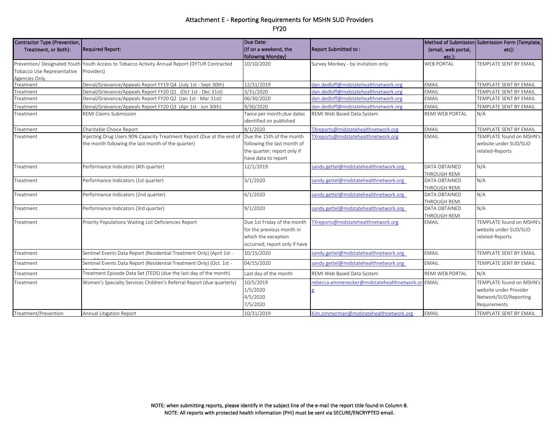#### Attachment E - Reporting Requirements for MSHN SUD Providers FY20

| Contractor Type (Prevention,<br>Treatment, or Both): | <b>Required Report:</b>                                                                                                     | Due Date:<br>(If on a weekend, the<br>following Monday)                                                          | Report Submitted to:                              | (email, web portal,<br>$etc.$ ):     | Method of Submission Submission Form (Template,<br>etc):                                    |
|------------------------------------------------------|-----------------------------------------------------------------------------------------------------------------------------|------------------------------------------------------------------------------------------------------------------|---------------------------------------------------|--------------------------------------|---------------------------------------------------------------------------------------------|
| Tobacco Use Representative<br>Agencies Only          | Prevention/ Designated Youth Youth Access to Tobacco Activity Annual Report (DYTUR Contracted<br>Providers)                 | 10/10/2020                                                                                                       | Survey Monkey - by invitation only                | <b>WEB PORTAL</b>                    | TEMPLATE SENT BY EMAIL                                                                      |
| Treatment                                            | Denial/Grievance/Appeals Report FY19 Q4 (July 1st - Sept 30th)                                                              | 12/31/2019                                                                                                       | dan.dedloff@midstatehealthnetwork.org             | <b>EMAIL</b>                         | <b>TEMPLATE SENT BY EMAIL</b>                                                               |
| Treatment                                            | Denial/Grievance/Appeals Report FY20 Q1 (Oct 1st - Dec 31st)                                                                | 3/31/2020                                                                                                        | dan.dedloff@midstatehealthnetwork.org             | <b>EMAIL</b>                         | TEMPLATE SENT BY EMAIL                                                                      |
| Treatment                                            | Denial/Grievance/Appeals Report FY20 Q2 (Jan 1st - Mar 31st)                                                                | 06/30/2020                                                                                                       | dan.dedloff@midstatehealthnetwork.org             | <b>EMAIL</b>                         | TEMPLATE SENT BY EMAIL                                                                      |
| Treatment                                            | Denial/Grievance/Appeals Report FY20 Q3 (Apr 1st - Jun 30th)                                                                | 9/30/2020                                                                                                        | dan.dedloff@midstatehealthnetwork.org             | <b>EMAIL</b>                         | TEMPLATE SENT BY EMAIL                                                                      |
| Treatment                                            | <b>REMI Claims Submission</b>                                                                                               | Twice per month; due dates<br>identified on published                                                            | REMI Web Based Data System                        | <b>REMI WEB PORTAL</b>               | N/A                                                                                         |
| Treatment                                            | Charitable Choice Report                                                                                                    | 8/1/2020                                                                                                         | TXreports@midstatehealthnetwork.org               | EMAIL                                | <b>TEMPLATE SENT BY EMAIL</b>                                                               |
| Treatment                                            | Injecting Drug Users 90% Capacity Treatment Report (Due at the end of<br>the month following the last month of the quarter) | Due the 15th of the month<br>following the last month of<br>the quarter; report only if<br>have data to report   | TXreports@midstatehealthnetwork.org               | <b>EMAIL</b>                         | TEMPLATE found on MSHN's<br>website under SUD/SUD<br>related-Reports                        |
| Treatment                                            | Performance Indicators (4th quarter)                                                                                        | 12/1/2019                                                                                                        | sandy.gettel@midstatehealthnetwork.org            | DATA OBTAINED<br>THROUGH REMI        | N/A                                                                                         |
| Treatment                                            | Performance Indicators (1st quarter)                                                                                        | 3/1/2020                                                                                                         | sandy.gettel@midstatehealthnetwork.org            | DATA OBTAINED<br><b>THROUGH REMI</b> | N/A                                                                                         |
| Treatment                                            | Performance Indicators (2nd quarter)                                                                                        | 6/1/2020                                                                                                         | sandy.gettel@midstatehealthnetwork.org            | DATA OBTAINED<br>THROUGH REMI        | N/A                                                                                         |
| Treatment                                            | Performance Indicators (3rd quarter)                                                                                        | 9/1/2020                                                                                                         | sandy.gettel@midstatehealthnetwork.org            | DATA OBTAINED<br>THROUGH REMI        | N/A                                                                                         |
| Treatment                                            | Priority Populations Waiting List Deficiencies Report                                                                       | Due 1st Friday of the month<br>for the previous month in<br>which the exception<br>occurred; report only if have | TXreports@midstatehealthnetwork.org               | <b>EMAIL</b>                         | TEMPLATE found on MSHN's<br>website under SUD/SUD<br>related-Reports                        |
| Treatment                                            | Sentinel Events Data Report (Residential Treatment Only) (April 1st -                                                       | 10/15/2020                                                                                                       | sandy.gettel@midstatehealthnetwork.org            | <b>EMAIL</b>                         | <b>TEMPLATE SENT BY EMAIL</b>                                                               |
| Treatment                                            | Sentinel Events Data Report (Residential Treatment Only) (Oct. 1st -                                                        | 04/15/2020                                                                                                       | sandy.gettel@midstatehealthnetwork.org            | <b>EMAIL</b>                         | TEMPLATE SENT BY EMAIL                                                                      |
| Treatment                                            | Treatment Episode Data Set (TEDS) (due the last day of the month)                                                           | Last day of the month                                                                                            | REMI Web Based Data System                        | REMI WEB PORTAL                      | N/A                                                                                         |
| Treatment                                            | Women's Specialty Services Children's Referral Report (due quarterly)                                                       | 10/5/2019<br>1/5/2020<br>4/5/2020<br>7/5/2020                                                                    | rebecca.emmenecker@midstatehealthnetwork.or EMAIL |                                      | TEMPLATE found on MSHN's<br>website under Provider<br>Network/SUD/Reporting<br>Requirements |
| Treatment/Prevention                                 | Annual Litigation Report                                                                                                    | 10/31/2019                                                                                                       | Kim.zimmerman@midstatehealthnetwork.org           | <b>EMAIL</b>                         | <b>TEMPLATE SENT BY EMAIL</b>                                                               |